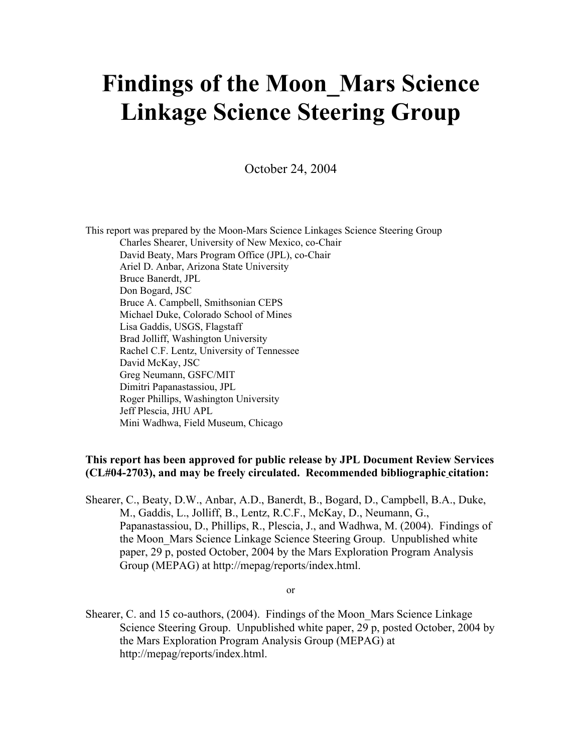# Findings of the Moon\_Mars Science Linkage Science Steering Group

October 24, 2004

This report was prepared by the Moon-Mars Science Linkages Science Steering Group Charles Shearer, University of New Mexico, co-Chair David Beaty, Mars Program Office (JPL), co-Chair Ariel D. Anbar, Arizona State University Bruce Banerdt, JPL Don Bogard, JSC Bruce A. Campbell, Smithsonian CEPS Michael Duke, Colorado School of Mines Lisa Gaddis, USGS, Flagstaff Brad Jolliff, Washington University Rachel C.F. Lentz, University of Tennessee David McKay, JSC Greg Neumann, GSFC/MIT Dimitri Papanastassiou, JPL Roger Phillips, Washington University Jeff Plescia, JHU APL Mini Wadhwa, Field Museum, Chicago

### This report has been approved for public release by JPL Document Review Services (CL#04-2703), and may be freely circulated. Recommended bibliographic citation:

Shearer, C., Beaty, D.W., Anbar, A.D., Banerdt, B., Bogard, D., Campbell, B.A., Duke, M., Gaddis, L., Jolliff, B., Lentz, R.C.F., McKay, D., Neumann, G., Papanastassiou, D., Phillips, R., Plescia, J., and Wadhwa, M. (2004). Findings of the Moon\_Mars Science Linkage Science Steering Group. Unpublished white paper, 29 p, posted October, 2004 by the Mars Exploration Program Analysis Group (MEPAG) at http://mepag/reports/index.html.

or

Shearer, C. and 15 co-authors, (2004). Findings of the Moon\_Mars Science Linkage Science Steering Group. Unpublished white paper, 29 p, posted October, 2004 by the Mars Exploration Program Analysis Group (MEPAG) at http://mepag/reports/index.html.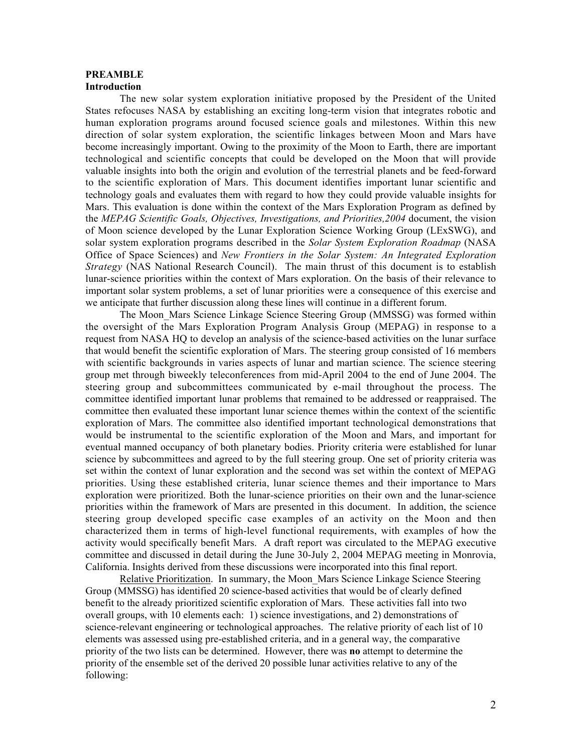#### PREAMBLE Introduction

The new solar system exploration initiative proposed by the President of the United States refocuses NASA by establishing an exciting long-term vision that integrates robotic and human exploration programs around focused science goals and milestones. Within this new direction of solar system exploration, the scientific linkages between Moon and Mars have become increasingly important. Owing to the proximity of the Moon to Earth, there are important technological and scientific concepts that could be developed on the Moon that will provide valuable insights into both the origin and evolution of the terrestrial planets and be feed-forward to the scientific exploration of Mars. This document identifies important lunar scientific and technology goals and evaluates them with regard to how they could provide valuable insights for Mars. This evaluation is done within the context of the Mars Exploration Program as defined by the *MEPAG Scientific Goals, Objectives, Investigations, and Priorities,2004* document, the vision of Moon science developed by the Lunar Exploration Science Working Group (LExSWG), and solar system exploration programs described in the *Solar System Exploration Roadmap* (NASA Office of Space Sciences) and *New Frontiers in the Solar System: An Integrated Exploration Strategy* (NAS National Research Council). The main thrust of this document is to establish lunar-science priorities within the context of Mars exploration. On the basis of their relevance to important solar system problems, a set of lunar priorities were a consequence of this exercise and we anticipate that further discussion along these lines will continue in a different forum.

The Moon\_Mars Science Linkage Science Steering Group (MMSSG) was formed within the oversight of the Mars Exploration Program Analysis Group (MEPAG) in response to a request from NASA HQ to develop an analysis of the science-based activities on the lunar surface that would benefit the scientific exploration of Mars. The steering group consisted of 16 members with scientific backgrounds in varies aspects of lunar and martian science. The science steering group met through biweekly teleconferences from mid-April 2004 to the end of June 2004. The steering group and subcommittees communicated by e-mail throughout the process. The committee identified important lunar problems that remained to be addressed or reappraised. The committee then evaluated these important lunar science themes within the context of the scientific exploration of Mars. The committee also identified important technological demonstrations that would be instrumental to the scientific exploration of the Moon and Mars, and important for eventual manned occupancy of both planetary bodies. Priority criteria were established for lunar science by subcommittees and agreed to by the full steering group. One set of priority criteria was set within the context of lunar exploration and the second was set within the context of MEPAG priorities. Using these established criteria, lunar science themes and their importance to Mars exploration were prioritized. Both the lunar-science priorities on their own and the lunar-science priorities within the framework of Mars are presented in this document. In addition, the science steering group developed specific case examples of an activity on the Moon and then characterized them in terms of high-level functional requirements, with examples of how the activity would specifically benefit Mars. A draft report was circulated to the MEPAG executive committee and discussed in detail during the June 30-July 2, 2004 MEPAG meeting in Monrovia, California. Insights derived from these discussions were incorporated into this final report.

Relative Prioritization. In summary, the Moon\_Mars Science Linkage Science Steering Group (MMSSG) has identified 20 science-based activities that would be of clearly defined benefit to the already prioritized scientific exploration of Mars. These activities fall into two overall groups, with 10 elements each: 1) science investigations, and 2) demonstrations of science-relevant engineering or technological approaches. The relative priority of each list of 10 elements was assessed using pre-established criteria, and in a general way, the comparative priority of the two lists can be determined. However, there was no attempt to determine the priority of the ensemble set of the derived 20 possible lunar activities relative to any of the following: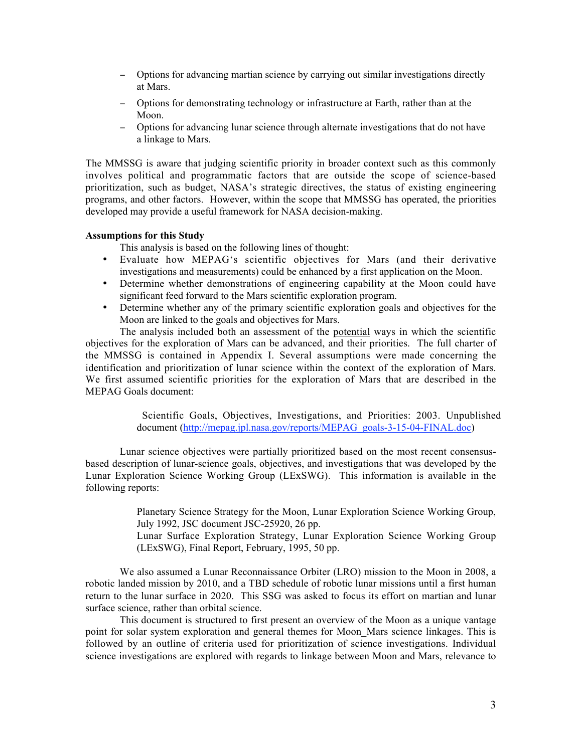- − Options for advancing martian science by carrying out similar investigations directly at Mars.
- − Options for demonstrating technology or infrastructure at Earth, rather than at the Moon.
- − Options for advancing lunar science through alternate investigations that do not have a linkage to Mars.

The MMSSG is aware that judging scientific priority in broader context such as this commonly involves political and programmatic factors that are outside the scope of science-based prioritization, such as budget, NASA's strategic directives, the status of existing engineering programs, and other factors. However, within the scope that MMSSG has operated, the priorities developed may provide a useful framework for NASA decision-making.

#### Assumptions for this Study

This analysis is based on the following lines of thought:

- Evaluate how MEPAG's scientific objectives for Mars (and their derivative investigations and measurements) could be enhanced by a first application on the Moon.
- Determine whether demonstrations of engineering capability at the Moon could have significant feed forward to the Mars scientific exploration program.
- Determine whether any of the primary scientific exploration goals and objectives for the Moon are linked to the goals and objectives for Mars.

The analysis included both an assessment of the potential ways in which the scientific objectives for the exploration of Mars can be advanced, and their priorities. The full charter of the MMSSG is contained in Appendix I. Several assumptions were made concerning the identification and prioritization of lunar science within the context of the exploration of Mars. We first assumed scientific priorities for the exploration of Mars that are described in the MEPAG Goals document:

> Scientific Goals, Objectives, Investigations, and Priorities: 2003. Unpublished document (http://mepag.jpl.nasa.gov/reports/MEPAG\_goals-3-15-04-FINAL.doc)

Lunar science objectives were partially prioritized based on the most recent consensusbased description of lunar-science goals, objectives, and investigations that was developed by the Lunar Exploration Science Working Group (LExSWG). This information is available in the following reports:

> Planetary Science Strategy for the Moon, Lunar Exploration Science Working Group, July 1992, JSC document JSC-25920, 26 pp.

> Lunar Surface Exploration Strategy, Lunar Exploration Science Working Group (LExSWG), Final Report, February, 1995, 50 pp.

We also assumed a Lunar Reconnaissance Orbiter (LRO) mission to the Moon in 2008, a robotic landed mission by 2010, and a TBD schedule of robotic lunar missions until a first human return to the lunar surface in 2020. This SSG was asked to focus its effort on martian and lunar surface science, rather than orbital science.

This document is structured to first present an overview of the Moon as a unique vantage point for solar system exploration and general themes for Moon\_Mars science linkages. This is followed by an outline of criteria used for prioritization of science investigations. Individual science investigations are explored with regards to linkage between Moon and Mars, relevance to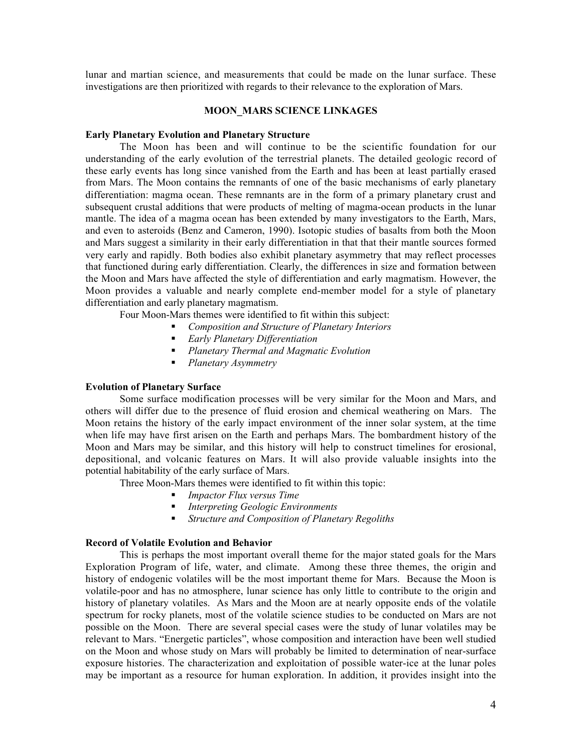lunar and martian science, and measurements that could be made on the lunar surface. These investigations are then prioritized with regards to their relevance to the exploration of Mars.

#### MOON\_MARS SCIENCE LINKAGES

#### Early Planetary Evolution and Planetary Structure

The Moon has been and will continue to be the scientific foundation for our understanding of the early evolution of the terrestrial planets. The detailed geologic record of these early events has long since vanished from the Earth and has been at least partially erased from Mars. The Moon contains the remnants of one of the basic mechanisms of early planetary differentiation: magma ocean. These remnants are in the form of a primary planetary crust and subsequent crustal additions that were products of melting of magma-ocean products in the lunar mantle. The idea of a magma ocean has been extended by many investigators to the Earth, Mars, and even to asteroids (Benz and Cameron, 1990). Isotopic studies of basalts from both the Moon and Mars suggest a similarity in their early differentiation in that that their mantle sources formed very early and rapidly. Both bodies also exhibit planetary asymmetry that may reflect processes that functioned during early differentiation. Clearly, the differences in size and formation between the Moon and Mars have affected the style of differentiation and early magmatism. However, the Moon provides a valuable and nearly complete end-member model for a style of planetary differentiation and early planetary magmatism.

Four Moon-Mars themes were identified to fit within this subject:

- *Composition and Structure of Planetary Interiors*
- *Early Planetary Differentiation*
- *Planetary Thermal and Magmatic Evolution*
- *Planetary Asymmetry*

#### Evolution of Planetary Surface

Some surface modification processes will be very similar for the Moon and Mars, and others will differ due to the presence of fluid erosion and chemical weathering on Mars. The Moon retains the history of the early impact environment of the inner solar system, at the time when life may have first arisen on the Earth and perhaps Mars. The bombardment history of the Moon and Mars may be similar, and this history will help to construct timelines for erosional, depositional, and volcanic features on Mars. It will also provide valuable insights into the potential habitability of the early surface of Mars.

Three Moon-Mars themes were identified to fit within this topic:

- *Impactor Flux versus Time*
- *Interpreting Geologic Environments*
- *Structure and Composition of Planetary Regoliths*

#### Record of Volatile Evolution and Behavior

This is perhaps the most important overall theme for the major stated goals for the Mars Exploration Program of life, water, and climate. Among these three themes, the origin and history of endogenic volatiles will be the most important theme for Mars. Because the Moon is volatile-poor and has no atmosphere, lunar science has only little to contribute to the origin and history of planetary volatiles. As Mars and the Moon are at nearly opposite ends of the volatile spectrum for rocky planets, most of the volatile science studies to be conducted on Mars are not possible on the Moon. There are several special cases were the study of lunar volatiles may be relevant to Mars. "Energetic particles", whose composition and interaction have been well studied on the Moon and whose study on Mars will probably be limited to determination of near-surface exposure histories. The characterization and exploitation of possible water-ice at the lunar poles may be important as a resource for human exploration. In addition, it provides insight into the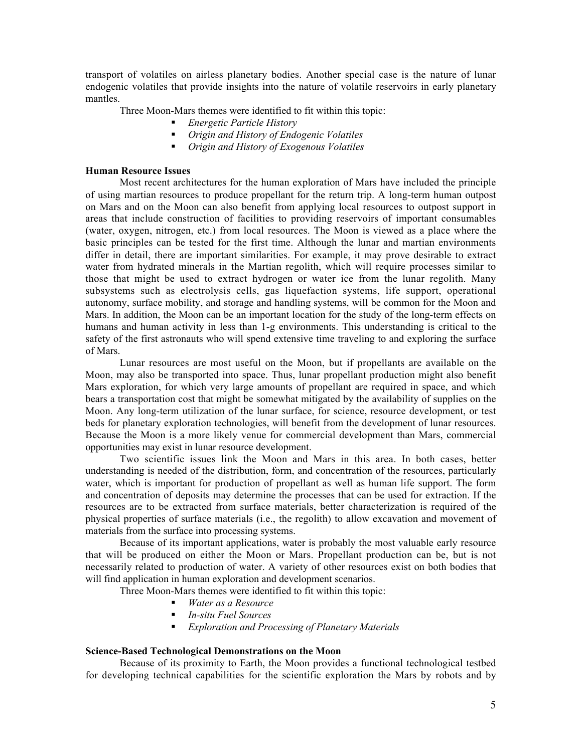transport of volatiles on airless planetary bodies. Another special case is the nature of lunar endogenic volatiles that provide insights into the nature of volatile reservoirs in early planetary mantles.

Three Moon-Mars themes were identified to fit within this topic:

- *Energetic Particle History*
- *Origin and History of Endogenic Volatiles*
- *Origin and History of Exogenous Volatiles*

#### Human Resource Issues

Most recent architectures for the human exploration of Mars have included the principle of using martian resources to produce propellant for the return trip. A long-term human outpost on Mars and on the Moon can also benefit from applying local resources to outpost support in areas that include construction of facilities to providing reservoirs of important consumables (water, oxygen, nitrogen, etc.) from local resources. The Moon is viewed as a place where the basic principles can be tested for the first time. Although the lunar and martian environments differ in detail, there are important similarities. For example, it may prove desirable to extract water from hydrated minerals in the Martian regolith, which will require processes similar to those that might be used to extract hydrogen or water ice from the lunar regolith. Many subsystems such as electrolysis cells, gas liquefaction systems, life support, operational autonomy, surface mobility, and storage and handling systems, will be common for the Moon and Mars. In addition, the Moon can be an important location for the study of the long-term effects on humans and human activity in less than 1-g environments. This understanding is critical to the safety of the first astronauts who will spend extensive time traveling to and exploring the surface of Mars.

Lunar resources are most useful on the Moon, but if propellants are available on the Moon, may also be transported into space. Thus, lunar propellant production might also benefit Mars exploration, for which very large amounts of propellant are required in space, and which bears a transportation cost that might be somewhat mitigated by the availability of supplies on the Moon. Any long-term utilization of the lunar surface, for science, resource development, or test beds for planetary exploration technologies, will benefit from the development of lunar resources. Because the Moon is a more likely venue for commercial development than Mars, commercial opportunities may exist in lunar resource development.

Two scientific issues link the Moon and Mars in this area. In both cases, better understanding is needed of the distribution, form, and concentration of the resources, particularly water, which is important for production of propellant as well as human life support. The form and concentration of deposits may determine the processes that can be used for extraction. If the resources are to be extracted from surface materials, better characterization is required of the physical properties of surface materials (i.e., the regolith) to allow excavation and movement of materials from the surface into processing systems.

Because of its important applications, water is probably the most valuable early resource that will be produced on either the Moon or Mars. Propellant production can be, but is not necessarily related to production of water. A variety of other resources exist on both bodies that will find application in human exploration and development scenarios.

Three Moon-Mars themes were identified to fit within this topic:

- *Water as a Resource*
- *In-situ Fuel Sources*
- *Exploration and Processing of Planetary Materials*

#### Science-Based Technological Demonstrations on the Moon

Because of its proximity to Earth, the Moon provides a functional technological testbed for developing technical capabilities for the scientific exploration the Mars by robots and by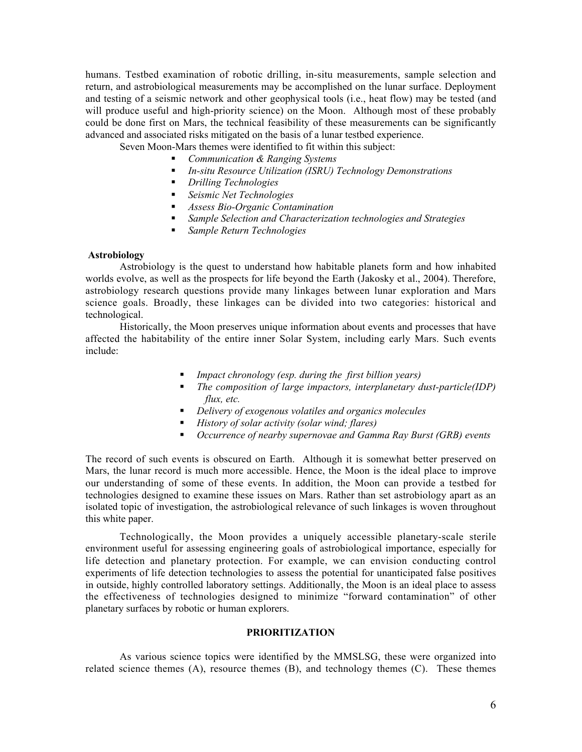humans. Testbed examination of robotic drilling, in-situ measurements, sample selection and return, and astrobiological measurements may be accomplished on the lunar surface. Deployment and testing of a seismic network and other geophysical tools (i.e., heat flow) may be tested (and will produce useful and high-priority science) on the Moon. Although most of these probably could be done first on Mars, the technical feasibility of these measurements can be significantly advanced and associated risks mitigated on the basis of a lunar testbed experience.

Seven Moon-Mars themes were identified to fit within this subject:

- *Communication & Ranging Systems*
- *In-situ Resource Utilization (ISRU) Technology Demonstrations*
- *Drilling Technologies*
- *Seismic Net Technologies*
- *Assess Bio-Organic Contamination*
- *Sample Selection and Characterization technologies and Strategies*
- *Sample Return Technologies*

#### Astrobiology

Astrobiology is the quest to understand how habitable planets form and how inhabited worlds evolve, as well as the prospects for life beyond the Earth (Jakosky et al., 2004). Therefore, astrobiology research questions provide many linkages between lunar exploration and Mars science goals. Broadly, these linkages can be divided into two categories: historical and technological.

Historically, the Moon preserves unique information about events and processes that have affected the habitability of the entire inner Solar System, including early Mars. Such events include:

- *Impact chronology (esp. during the first billion years)*
- *The composition of large impactors, interplanetary dust-particle(IDP) flux, etc.*
- *Delivery of exogenous volatiles and organics molecules*
- *History of solar activity (solar wind; flares)*
- *Occurrence of nearby supernovae and Gamma Ray Burst (GRB) events*

The record of such events is obscured on Earth. Although it is somewhat better preserved on Mars, the lunar record is much more accessible. Hence, the Moon is the ideal place to improve our understanding of some of these events. In addition, the Moon can provide a testbed for technologies designed to examine these issues on Mars. Rather than set astrobiology apart as an isolated topic of investigation, the astrobiological relevance of such linkages is woven throughout this white paper.

Technologically, the Moon provides a uniquely accessible planetary-scale sterile environment useful for assessing engineering goals of astrobiological importance, especially for life detection and planetary protection. For example, we can envision conducting control experiments of life detection technologies to assess the potential for unanticipated false positives in outside, highly controlled laboratory settings. Additionally, the Moon is an ideal place to assess the effectiveness of technologies designed to minimize "forward contamination" of other planetary surfaces by robotic or human explorers.

#### PRIORITIZATION

As various science topics were identified by the MMSLSG, these were organized into related science themes (A), resource themes (B), and technology themes (C). These themes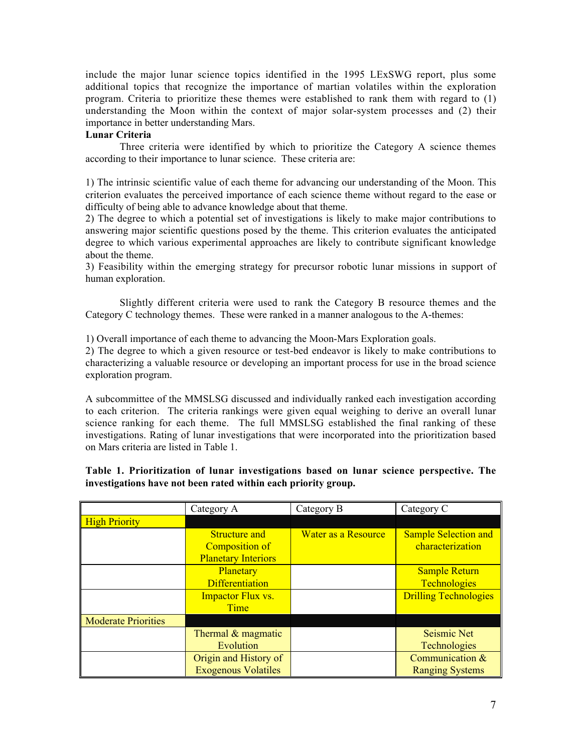include the major lunar science topics identified in the 1995 LExSWG report, plus some additional topics that recognize the importance of martian volatiles within the exploration program. Criteria to prioritize these themes were established to rank them with regard to (1) understanding the Moon within the context of major solar-system processes and (2) their importance in better understanding Mars.

#### Lunar Criteria

Three criteria were identified by which to prioritize the Category A science themes according to their importance to lunar science. These criteria are:

1) The intrinsic scientific value of each theme for advancing our understanding of the Moon. This criterion evaluates the perceived importance of each science theme without regard to the ease or difficulty of being able to advance knowledge about that theme.

2) The degree to which a potential set of investigations is likely to make major contributions to answering major scientific questions posed by the theme. This criterion evaluates the anticipated degree to which various experimental approaches are likely to contribute significant knowledge about the theme.

3) Feasibility within the emerging strategy for precursor robotic lunar missions in support of human exploration.

Slightly different criteria were used to rank the Category B resource themes and the Category C technology themes. These were ranked in a manner analogous to the A-themes:

1) Overall importance of each theme to advancing the Moon-Mars Exploration goals.

2) The degree to which a given resource or test-bed endeavor is likely to make contributions to characterizing a valuable resource or developing an important process for use in the broad science exploration program.

A subcommittee of the MMSLSG discussed and individually ranked each investigation according to each criterion. The criteria rankings were given equal weighing to derive an overall lunar science ranking for each theme. The full MMSLSG established the final ranking of these investigations. Rating of lunar investigations that were incorporated into the prioritization based on Mars criteria are listed in Table 1.

#### Table 1. Prioritization of lunar investigations based on lunar science perspective. The investigations have not been rated within each priority group.

|                            | Category A                             | Category B          | Category C                                      |  |
|----------------------------|----------------------------------------|---------------------|-------------------------------------------------|--|
| <b>High Priority</b>       |                                        |                     |                                                 |  |
|                            | <b>Structure and</b><br>Composition of | Water as a Resource | <b>Sample Selection and</b><br>characterization |  |
|                            | <b>Planetary Interiors</b>             |                     |                                                 |  |
|                            | Planetary                              |                     | <b>Sample Return</b>                            |  |
|                            | Differentiation                        |                     | <b>Technologies</b>                             |  |
|                            | <b>Impactor Flux vs.</b>               |                     | <b>Drilling Technologies</b>                    |  |
|                            | Time                                   |                     |                                                 |  |
| <b>Moderate Priorities</b> |                                        |                     |                                                 |  |
|                            | Thermal $&$ magmatic                   |                     | Seismic Net                                     |  |
|                            | Evolution                              |                     | <b>Technologies</b>                             |  |
|                            | Origin and History of                  |                     | Communication &                                 |  |
|                            | <b>Exogenous Volatiles</b>             |                     | <b>Ranging Systems</b>                          |  |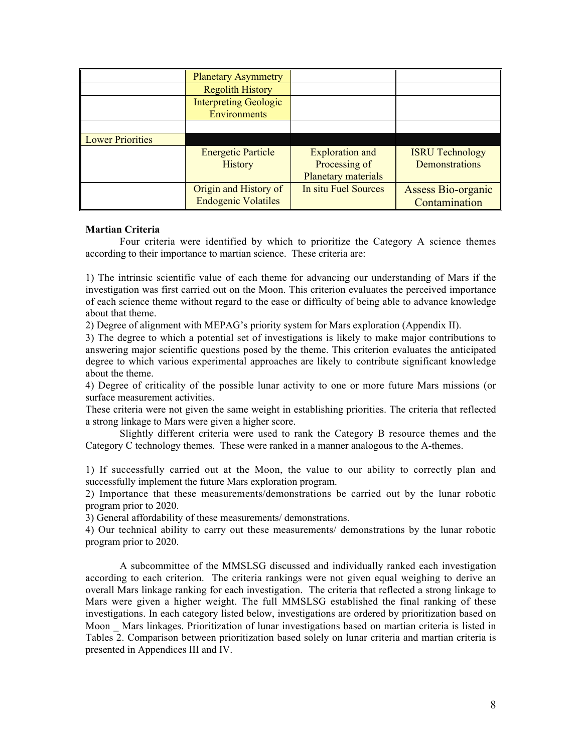|                         | <b>Planetary Asymmetry</b>   |                        |                           |
|-------------------------|------------------------------|------------------------|---------------------------|
|                         | <b>Regolith History</b>      |                        |                           |
|                         | <b>Interpreting Geologic</b> |                        |                           |
|                         | <b>Environments</b>          |                        |                           |
|                         |                              |                        |                           |
| <b>Lower Priorities</b> |                              |                        |                           |
|                         | <b>Energetic Particle</b>    | <b>Exploration and</b> | <b>ISRU Technology</b>    |
|                         | History                      | Processing of          | Demonstrations            |
|                         |                              | Planetary materials    |                           |
|                         | Origin and History of        | In situ Fuel Sources   | <b>Assess Bio-organic</b> |
|                         | <b>Endogenic Volatiles</b>   |                        | Contamination             |

#### Martian Criteria

Four criteria were identified by which to prioritize the Category A science themes according to their importance to martian science. These criteria are:

1) The intrinsic scientific value of each theme for advancing our understanding of Mars if the investigation was first carried out on the Moon. This criterion evaluates the perceived importance of each science theme without regard to the ease or difficulty of being able to advance knowledge about that theme.

2) Degree of alignment with MEPAG's priority system for Mars exploration (Appendix II).

3) The degree to which a potential set of investigations is likely to make major contributions to answering major scientific questions posed by the theme. This criterion evaluates the anticipated degree to which various experimental approaches are likely to contribute significant knowledge about the theme.

4) Degree of criticality of the possible lunar activity to one or more future Mars missions (or surface measurement activities.

These criteria were not given the same weight in establishing priorities. The criteria that reflected a strong linkage to Mars were given a higher score.

Slightly different criteria were used to rank the Category B resource themes and the Category C technology themes. These were ranked in a manner analogous to the A-themes.

1) If successfully carried out at the Moon, the value to our ability to correctly plan and successfully implement the future Mars exploration program.

2) Importance that these measurements/demonstrations be carried out by the lunar robotic program prior to 2020.

3) General affordability of these measurements/ demonstrations.

4) Our technical ability to carry out these measurements/ demonstrations by the lunar robotic program prior to 2020.

A subcommittee of the MMSLSG discussed and individually ranked each investigation according to each criterion. The criteria rankings were not given equal weighing to derive an overall Mars linkage ranking for each investigation. The criteria that reflected a strong linkage to Mars were given a higher weight. The full MMSLSG established the final ranking of these investigations. In each category listed below, investigations are ordered by prioritization based on Moon \_ Mars linkages. Prioritization of lunar investigations based on martian criteria is listed in Tables 2. Comparison between prioritization based solely on lunar criteria and martian criteria is presented in Appendices III and IV.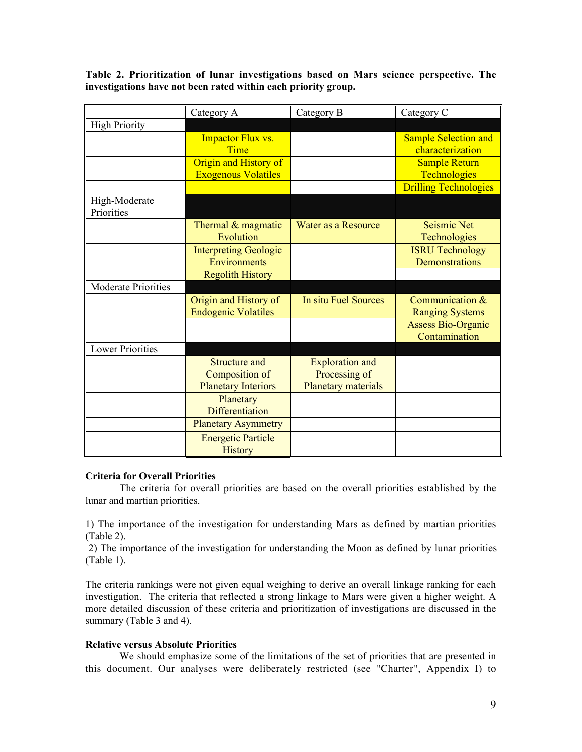Table 2. Prioritization of lunar investigations based on Mars science perspective. The investigations have not been rated within each priority group.

|                            | Category A                   | Category B             | Category C                   |
|----------------------------|------------------------------|------------------------|------------------------------|
| <b>High Priority</b>       |                              |                        |                              |
|                            | <b>Impactor Flux vs.</b>     |                        | <b>Sample Selection and</b>  |
|                            | Time                         |                        | characterization             |
|                            | Origin and History of        |                        | <b>Sample Return</b>         |
|                            | <b>Exogenous Volatiles</b>   |                        | Technologies                 |
|                            |                              |                        | <b>Drilling Technologies</b> |
| High-Moderate              |                              |                        |                              |
| Priorities                 |                              |                        |                              |
|                            | Thermal & magmatic           | Water as a Resource    | <b>Seismic Net</b>           |
|                            | Evolution                    |                        | Technologies                 |
|                            | <b>Interpreting Geologic</b> |                        | <b>ISRU Technology</b>       |
|                            | Environments                 |                        | Demonstrations               |
|                            | <b>Regolith History</b>      |                        |                              |
| <b>Moderate Priorities</b> |                              |                        |                              |
|                            | Origin and History of        | In situ Fuel Sources   | Communication &              |
|                            | <b>Endogenic Volatiles</b>   |                        | <b>Ranging Systems</b>       |
|                            |                              |                        | <b>Assess Bio-Organic</b>    |
|                            |                              |                        | Contamination                |
| <b>Lower Priorities</b>    |                              |                        |                              |
|                            | Structure and                | <b>Exploration and</b> |                              |
|                            | Composition of               | Processing of          |                              |
|                            | <b>Planetary Interiors</b>   | Planetary materials    |                              |
|                            | Planetary                    |                        |                              |
|                            | <b>Differentiation</b>       |                        |                              |
|                            | <b>Planetary Asymmetry</b>   |                        |                              |
|                            | <b>Energetic Particle</b>    |                        |                              |
|                            | <b>History</b>               |                        |                              |

#### Criteria for Overall Priorities

The criteria for overall priorities are based on the overall priorities established by the lunar and martian priorities.

1) The importance of the investigation for understanding Mars as defined by martian priorities (Table 2).

2) The importance of the investigation for understanding the Moon as defined by lunar priorities (Table 1).

The criteria rankings were not given equal weighing to derive an overall linkage ranking for each investigation. The criteria that reflected a strong linkage to Mars were given a higher weight. A more detailed discussion of these criteria and prioritization of investigations are discussed in the summary (Table 3 and 4).

#### Relative versus Absolute Priorities

We should emphasize some of the limitations of the set of priorities that are presented in this document. Our analyses were deliberately restricted (see "Charter", Appendix I) to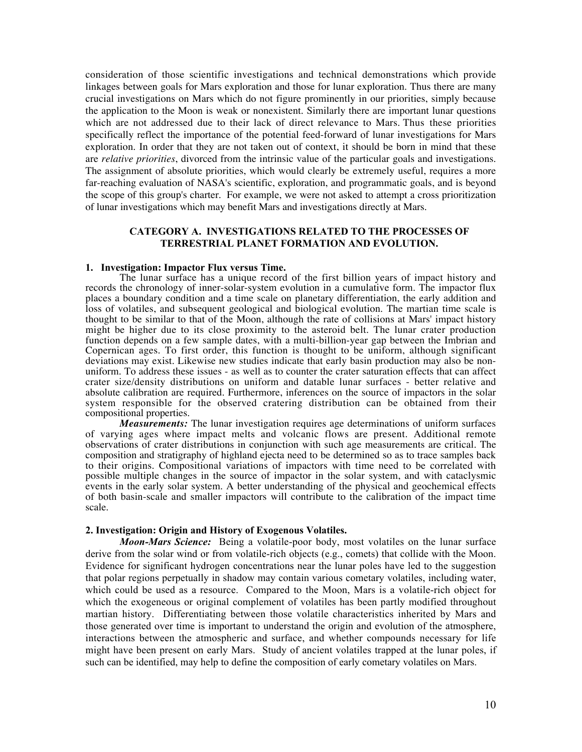consideration of those scientific investigations and technical demonstrations which provide linkages between goals for Mars exploration and those for lunar exploration. Thus there are many crucial investigations on Mars which do not figure prominently in our priorities, simply because the application to the Moon is weak or nonexistent. Similarly there are important lunar questions which are not addressed due to their lack of direct relevance to Mars. Thus these priorities specifically reflect the importance of the potential feed-forward of lunar investigations for Mars exploration. In order that they are not taken out of context, it should be born in mind that these are *relative priorities*, divorced from the intrinsic value of the particular goals and investigations. The assignment of absolute priorities, which would clearly be extremely useful, requires a more far-reaching evaluation of NASA's scientific, exploration, and programmatic goals, and is beyond the scope of this group's charter. For example, we were not asked to attempt a cross prioritization of lunar investigations which may benefit Mars and investigations directly at Mars.

#### CATEGORY A. INVESTIGATIONS RELATED TO THE PROCESSES OF TERRESTRIAL PLANET FORMATION AND EVOLUTION.

#### 1. Investigation: Impactor Flux versus Time.

The lunar surface has a unique record of the first billion years of impact history and records the chronology of inner-solar-system evolution in a cumulative form. The impactor flux places a boundary condition and a time scale on planetary differentiation, the early addition and loss of volatiles, and subsequent geological and biological evolution. The martian time scale is thought to be similar to that of the Moon, although the rate of collisions at Mars' impact history might be higher due to its close proximity to the asteroid belt. The lunar crater production function depends on a few sample dates, with a multi-billion-year gap between the Imbrian and Copernican ages. To first order, this function is thought to be uniform, although significant deviations may exist. Likewise new studies indicate that early basin production may also be nonuniform. To address these issues - as well as to counter the crater saturation effects that can affect crater size/density distributions on uniform and datable lunar surfaces - better relative and absolute calibration are required. Furthermore, inferences on the source of impactors in the solar system responsible for the observed cratering distribution can be obtained from their compositional properties.

*Measurements:* The lunar investigation requires age determinations of uniform surfaces of varying ages where impact melts and volcanic flows are present. Additional remote observations of crater distributions in conjunction with such age measurements are critical. The composition and stratigraphy of highland ejecta need to be determined so as to trace samples back to their origins. Compositional variations of impactors with time need to be correlated with possible multiple changes in the source of impactor in the solar system, and with cataclysmic events in the early solar system. A better understanding of the physical and geochemical effects of both basin-scale and smaller impactors will contribute to the calibration of the impact time scale.

#### 2. Investigation: Origin and History of Exogenous Volatiles.

*Moon-Mars Science:* Being a volatile-poor body, most volatiles on the lunar surface derive from the solar wind or from volatile-rich objects (e.g., comets) that collide with the Moon. Evidence for significant hydrogen concentrations near the lunar poles have led to the suggestion that polar regions perpetually in shadow may contain various cometary volatiles, including water, which could be used as a resource. Compared to the Moon, Mars is a volatile-rich object for which the exogeneous or original complement of volatiles has been partly modified throughout martian history. Differentiating between those volatile characteristics inherited by Mars and those generated over time is important to understand the origin and evolution of the atmosphere, interactions between the atmospheric and surface, and whether compounds necessary for life might have been present on early Mars. Study of ancient volatiles trapped at the lunar poles, if such can be identified, may help to define the composition of early cometary volatiles on Mars.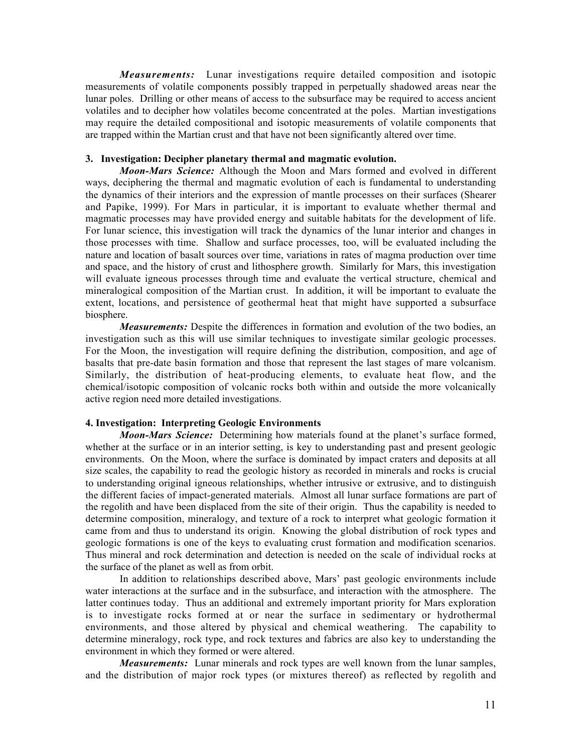*Measurements:* Lunar investigations require detailed composition and isotopic measurements of volatile components possibly trapped in perpetually shadowed areas near the lunar poles. Drilling or other means of access to the subsurface may be required to access ancient volatiles and to decipher how volatiles become concentrated at the poles. Martian investigations may require the detailed compositional and isotopic measurements of volatile components that are trapped within the Martian crust and that have not been significantly altered over time.

#### 3. Investigation: Decipher planetary thermal and magmatic evolution.

*Moon-Mars Science:* Although the Moon and Mars formed and evolved in different ways, deciphering the thermal and magmatic evolution of each is fundamental to understanding the dynamics of their interiors and the expression of mantle processes on their surfaces (Shearer and Papike, 1999). For Mars in particular, it is important to evaluate whether thermal and magmatic processes may have provided energy and suitable habitats for the development of life. For lunar science, this investigation will track the dynamics of the lunar interior and changes in those processes with time. Shallow and surface processes, too, will be evaluated including the nature and location of basalt sources over time, variations in rates of magma production over time and space, and the history of crust and lithosphere growth. Similarly for Mars, this investigation will evaluate igneous processes through time and evaluate the vertical structure, chemical and mineralogical composition of the Martian crust. In addition, it will be important to evaluate the extent, locations, and persistence of geothermal heat that might have supported a subsurface biosphere.

*Measurements:* Despite the differences in formation and evolution of the two bodies, an investigation such as this will use similar techniques to investigate similar geologic processes. For the Moon, the investigation will require defining the distribution, composition, and age of basalts that pre-date basin formation and those that represent the last stages of mare volcanism. Similarly, the distribution of heat-producing elements, to evaluate heat flow, and the chemical/isotopic composition of volcanic rocks both within and outside the more volcanically active region need more detailed investigations.

#### 4. Investigation: Interpreting Geologic Environments

*Moon-Mars Science:* Determining how materials found at the planet's surface formed, whether at the surface or in an interior setting, is key to understanding past and present geologic environments. On the Moon, where the surface is dominated by impact craters and deposits at all size scales, the capability to read the geologic history as recorded in minerals and rocks is crucial to understanding original igneous relationships, whether intrusive or extrusive, and to distinguish the different facies of impact-generated materials. Almost all lunar surface formations are part of the regolith and have been displaced from the site of their origin. Thus the capability is needed to determine composition, mineralogy, and texture of a rock to interpret what geologic formation it came from and thus to understand its origin. Knowing the global distribution of rock types and geologic formations is one of the keys to evaluating crust formation and modification scenarios. Thus mineral and rock determination and detection is needed on the scale of individual rocks at the surface of the planet as well as from orbit.

In addition to relationships described above, Mars' past geologic environments include water interactions at the surface and in the subsurface, and interaction with the atmosphere. The latter continues today. Thus an additional and extremely important priority for Mars exploration is to investigate rocks formed at or near the surface in sedimentary or hydrothermal environments, and those altered by physical and chemical weathering. The capability to determine mineralogy, rock type, and rock textures and fabrics are also key to understanding the environment in which they formed or were altered.

*Measurements:* Lunar minerals and rock types are well known from the lunar samples, and the distribution of major rock types (or mixtures thereof) as reflected by regolith and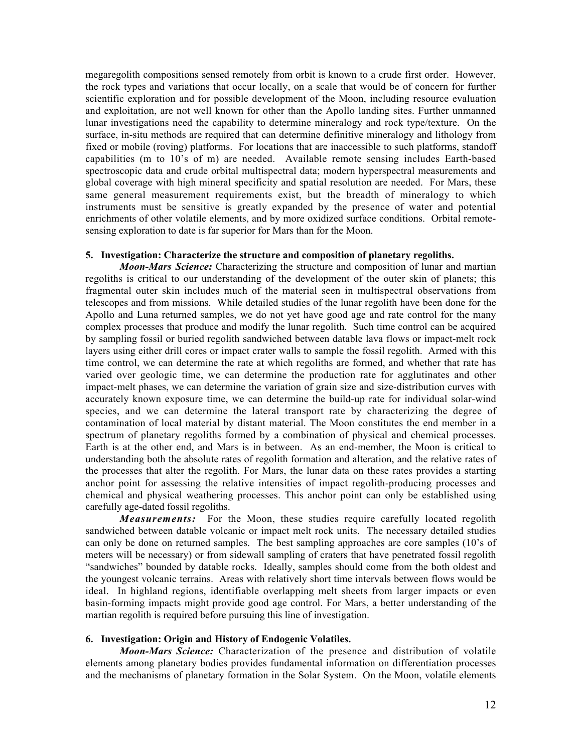megaregolith compositions sensed remotely from orbit is known to a crude first order. However, the rock types and variations that occur locally, on a scale that would be of concern for further scientific exploration and for possible development of the Moon, including resource evaluation and exploitation, are not well known for other than the Apollo landing sites. Further unmanned lunar investigations need the capability to determine mineralogy and rock type/texture. On the surface, in-situ methods are required that can determine definitive mineralogy and lithology from fixed or mobile (roving) platforms. For locations that are inaccessible to such platforms, standoff capabilities (m to 10's of m) are needed. Available remote sensing includes Earth-based spectroscopic data and crude orbital multispectral data; modern hyperspectral measurements and global coverage with high mineral specificity and spatial resolution are needed. For Mars, these same general measurement requirements exist, but the breadth of mineralogy to which instruments must be sensitive is greatly expanded by the presence of water and potential enrichments of other volatile elements, and by more oxidized surface conditions. Orbital remotesensing exploration to date is far superior for Mars than for the Moon.

#### 5. Investigation: Characterize the structure and composition of planetary regoliths.

*Moon-Mars Science:* Characterizing the structure and composition of lunar and martian regoliths is critical to our understanding of the development of the outer skin of planets; this fragmental outer skin includes much of the material seen in multispectral observations from telescopes and from missions. While detailed studies of the lunar regolith have been done for the Apollo and Luna returned samples, we do not yet have good age and rate control for the many complex processes that produce and modify the lunar regolith. Such time control can be acquired by sampling fossil or buried regolith sandwiched between datable lava flows or impact-melt rock layers using either drill cores or impact crater walls to sample the fossil regolith. Armed with this time control, we can determine the rate at which regoliths are formed, and whether that rate has varied over geologic time, we can determine the production rate for agglutinates and other impact-melt phases, we can determine the variation of grain size and size-distribution curves with accurately known exposure time, we can determine the build-up rate for individual solar-wind species, and we can determine the lateral transport rate by characterizing the degree of contamination of local material by distant material. The Moon constitutes the end member in a spectrum of planetary regoliths formed by a combination of physical and chemical processes. Earth is at the other end, and Mars is in between. As an end-member, the Moon is critical to understanding both the absolute rates of regolith formation and alteration, and the relative rates of the processes that alter the regolith. For Mars, the lunar data on these rates provides a starting anchor point for assessing the relative intensities of impact regolith-producing processes and chemical and physical weathering processes. This anchor point can only be established using carefully age-dated fossil regoliths.

*Measurements:* For the Moon, these studies require carefully located regolith sandwiched between datable volcanic or impact melt rock units. The necessary detailed studies can only be done on returned samples. The best sampling approaches are core samples (10's of meters will be necessary) or from sidewall sampling of craters that have penetrated fossil regolith "sandwiches" bounded by datable rocks. Ideally, samples should come from the both oldest and the youngest volcanic terrains. Areas with relatively short time intervals between flows would be ideal. In highland regions, identifiable overlapping melt sheets from larger impacts or even basin-forming impacts might provide good age control. For Mars, a better understanding of the martian regolith is required before pursuing this line of investigation.

#### 6. Investigation: Origin and History of Endogenic Volatiles.

*Moon-Mars Science:* Characterization of the presence and distribution of volatile elements among planetary bodies provides fundamental information on differentiation processes and the mechanisms of planetary formation in the Solar System. On the Moon, volatile elements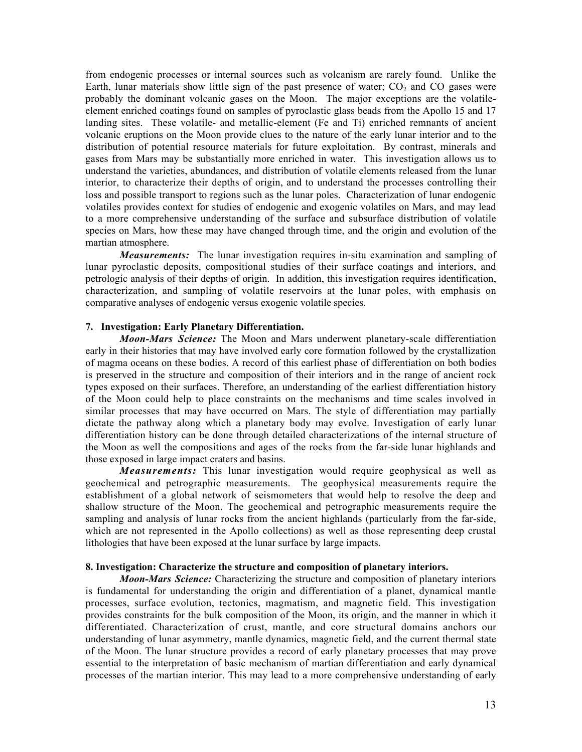from endogenic processes or internal sources such as volcanism are rarely found. Unlike the Earth, lunar materials show little sign of the past presence of water;  $CO<sub>2</sub>$  and  $CO<sub>2</sub>$  gases were probably the dominant volcanic gases on the Moon. The major exceptions are the volatileelement enriched coatings found on samples of pyroclastic glass beads from the Apollo 15 and 17 landing sites. These volatile- and metallic-element (Fe and Ti) enriched remnants of ancient volcanic eruptions on the Moon provide clues to the nature of the early lunar interior and to the distribution of potential resource materials for future exploitation. By contrast, minerals and gases from Mars may be substantially more enriched in water. This investigation allows us to understand the varieties, abundances, and distribution of volatile elements released from the lunar interior, to characterize their depths of origin, and to understand the processes controlling their loss and possible transport to regions such as the lunar poles. Characterization of lunar endogenic volatiles provides context for studies of endogenic and exogenic volatiles on Mars, and may lead to a more comprehensive understanding of the surface and subsurface distribution of volatile species on Mars, how these may have changed through time, and the origin and evolution of the martian atmosphere.

*Measurements:* The lunar investigation requires in-situ examination and sampling of lunar pyroclastic deposits, compositional studies of their surface coatings and interiors, and petrologic analysis of their depths of origin. In addition, this investigation requires identification, characterization, and sampling of volatile reservoirs at the lunar poles, with emphasis on comparative analyses of endogenic versus exogenic volatile species.

#### 7. Investigation: Early Planetary Differentiation.

*Moon-Mars Science:* The Moon and Mars underwent planetary-scale differentiation early in their histories that may have involved early core formation followed by the crystallization of magma oceans on these bodies. A record of this earliest phase of differentiation on both bodies is preserved in the structure and composition of their interiors and in the range of ancient rock types exposed on their surfaces. Therefore, an understanding of the earliest differentiation history of the Moon could help to place constraints on the mechanisms and time scales involved in similar processes that may have occurred on Mars. The style of differentiation may partially dictate the pathway along which a planetary body may evolve. Investigation of early lunar differentiation history can be done through detailed characterizations of the internal structure of the Moon as well the compositions and ages of the rocks from the far-side lunar highlands and those exposed in large impact craters and basins.

*Measurements:* This lunar investigation would require geophysical as well as geochemical and petrographic measurements. The geophysical measurements require the establishment of a global network of seismometers that would help to resolve the deep and shallow structure of the Moon. The geochemical and petrographic measurements require the sampling and analysis of lunar rocks from the ancient highlands (particularly from the far-side, which are not represented in the Apollo collections) as well as those representing deep crustal lithologies that have been exposed at the lunar surface by large impacts.

#### 8. Investigation: Characterize the structure and composition of planetary interiors.

*Moon-Mars Science:* Characterizing the structure and composition of planetary interiors is fundamental for understanding the origin and differentiation of a planet, dynamical mantle processes, surface evolution, tectonics, magmatism, and magnetic field. This investigation provides constraints for the bulk composition of the Moon, its origin, and the manner in which it differentiated. Characterization of crust, mantle, and core structural domains anchors our understanding of lunar asymmetry, mantle dynamics, magnetic field, and the current thermal state of the Moon. The lunar structure provides a record of early planetary processes that may prove essential to the interpretation of basic mechanism of martian differentiation and early dynamical processes of the martian interior. This may lead to a more comprehensive understanding of early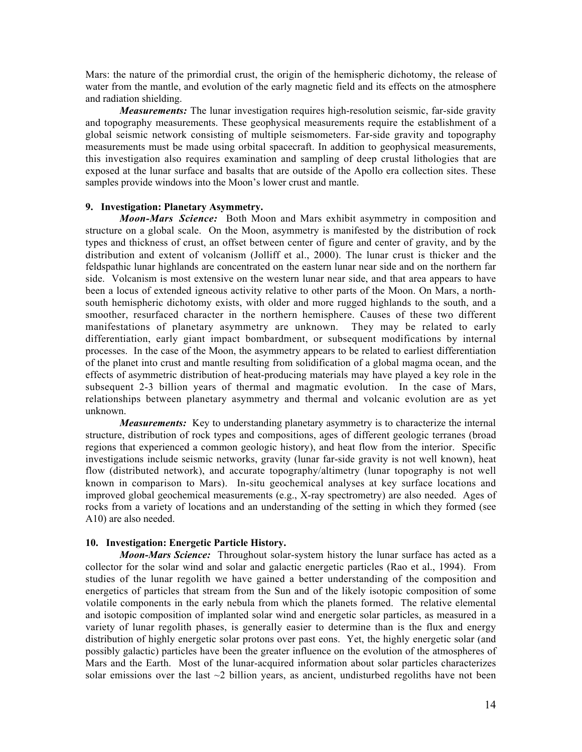Mars: the nature of the primordial crust, the origin of the hemispheric dichotomy, the release of water from the mantle, and evolution of the early magnetic field and its effects on the atmosphere and radiation shielding.

*Measurements:* The lunar investigation requires high-resolution seismic, far-side gravity and topography measurements. These geophysical measurements require the establishment of a global seismic network consisting of multiple seismometers. Far-side gravity and topography measurements must be made using orbital spacecraft. In addition to geophysical measurements, this investigation also requires examination and sampling of deep crustal lithologies that are exposed at the lunar surface and basalts that are outside of the Apollo era collection sites. These samples provide windows into the Moon's lower crust and mantle.

#### 9. Investigation: Planetary Asymmetry.

*Moon-Mars Science:* Both Moon and Mars exhibit asymmetry in composition and structure on a global scale. On the Moon, asymmetry is manifested by the distribution of rock types and thickness of crust, an offset between center of figure and center of gravity, and by the distribution and extent of volcanism (Jolliff et al., 2000). The lunar crust is thicker and the feldspathic lunar highlands are concentrated on the eastern lunar near side and on the northern far side. Volcanism is most extensive on the western lunar near side, and that area appears to have been a locus of extended igneous activity relative to other parts of the Moon. On Mars, a northsouth hemispheric dichotomy exists, with older and more rugged highlands to the south, and a smoother, resurfaced character in the northern hemisphere. Causes of these two different manifestations of planetary asymmetry are unknown. They may be related to early differentiation, early giant impact bombardment, or subsequent modifications by internal processes. In the case of the Moon, the asymmetry appears to be related to earliest differentiation of the planet into crust and mantle resulting from solidification of a global magma ocean, and the effects of asymmetric distribution of heat-producing materials may have played a key role in the subsequent 2-3 billion years of thermal and magmatic evolution. In the case of Mars, relationships between planetary asymmetry and thermal and volcanic evolution are as yet unknown.

*Measurements:* Key to understanding planetary asymmetry is to characterize the internal structure, distribution of rock types and compositions, ages of different geologic terranes (broad regions that experienced a common geologic history), and heat flow from the interior. Specific investigations include seismic networks, gravity (lunar far-side gravity is not well known), heat flow (distributed network), and accurate topography/altimetry (lunar topography is not well known in comparison to Mars). In-situ geochemical analyses at key surface locations and improved global geochemical measurements (e.g., X-ray spectrometry) are also needed. Ages of rocks from a variety of locations and an understanding of the setting in which they formed (see A10) are also needed.

#### 10. Investigation: Energetic Particle History.

*Moon-Mars Science:* Throughout solar-system history the lunar surface has acted as a collector for the solar wind and solar and galactic energetic particles (Rao et al., 1994). From studies of the lunar regolith we have gained a better understanding of the composition and energetics of particles that stream from the Sun and of the likely isotopic composition of some volatile components in the early nebula from which the planets formed. The relative elemental and isotopic composition of implanted solar wind and energetic solar particles, as measured in a variety of lunar regolith phases, is generally easier to determine than is the flux and energy distribution of highly energetic solar protons over past eons. Yet, the highly energetic solar (and possibly galactic) particles have been the greater influence on the evolution of the atmospheres of Mars and the Earth. Most of the lunar-acquired information about solar particles characterizes solar emissions over the last  $\sim$ 2 billion years, as ancient, undisturbed regoliths have not been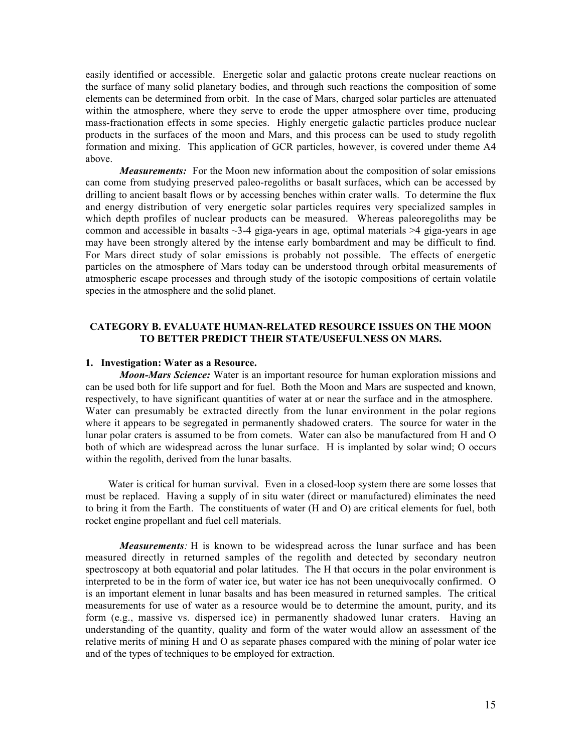easily identified or accessible. Energetic solar and galactic protons create nuclear reactions on the surface of many solid planetary bodies, and through such reactions the composition of some elements can be determined from orbit. In the case of Mars, charged solar particles are attenuated within the atmosphere, where they serve to erode the upper atmosphere over time, producing mass-fractionation effects in some species. Highly energetic galactic particles produce nuclear products in the surfaces of the moon and Mars, and this process can be used to study regolith formation and mixing. This application of GCR particles, however, is covered under theme A4 above.

*Measurements:* For the Moon new information about the composition of solar emissions can come from studying preserved paleo-regoliths or basalt surfaces, which can be accessed by drilling to ancient basalt flows or by accessing benches within crater walls. To determine the flux and energy distribution of very energetic solar particles requires very specialized samples in which depth profiles of nuclear products can be measured. Whereas paleoregoliths may be common and accessible in basalts  $\sim$ 3-4 giga-years in age, optimal materials  $\geq$ 4 giga-years in age may have been strongly altered by the intense early bombardment and may be difficult to find. For Mars direct study of solar emissions is probably not possible. The effects of energetic particles on the atmosphere of Mars today can be understood through orbital measurements of atmospheric escape processes and through study of the isotopic compositions of certain volatile species in the atmosphere and the solid planet.

#### CATEGORY B. EVALUATE HUMAN-RELATED RESOURCE ISSUES ON THE MOON TO BETTER PREDICT THEIR STATE/USEFULNESS ON MARS.

#### 1. Investigation: Water as a Resource.

*Moon-Mars Science:* Water is an important resource for human exploration missions and can be used both for life support and for fuel. Both the Moon and Mars are suspected and known, respectively, to have significant quantities of water at or near the surface and in the atmosphere. Water can presumably be extracted directly from the lunar environment in the polar regions where it appears to be segregated in permanently shadowed craters. The source for water in the lunar polar craters is assumed to be from comets. Water can also be manufactured from H and O both of which are widespread across the lunar surface. H is implanted by solar wind; O occurs within the regolith, derived from the lunar basalts.

 Water is critical for human survival. Even in a closed-loop system there are some losses that must be replaced. Having a supply of in situ water (direct or manufactured) eliminates the need to bring it from the Earth. The constituents of water (H and O) are critical elements for fuel, both rocket engine propellant and fuel cell materials.

*Measurements:* H is known to be widespread across the lunar surface and has been measured directly in returned samples of the regolith and detected by secondary neutron spectroscopy at both equatorial and polar latitudes. The H that occurs in the polar environment is interpreted to be in the form of water ice, but water ice has not been unequivocally confirmed. O is an important element in lunar basalts and has been measured in returned samples. The critical measurements for use of water as a resource would be to determine the amount, purity, and its form (e.g., massive vs. dispersed ice) in permanently shadowed lunar craters. Having an understanding of the quantity, quality and form of the water would allow an assessment of the relative merits of mining H and O as separate phases compared with the mining of polar water ice and of the types of techniques to be employed for extraction.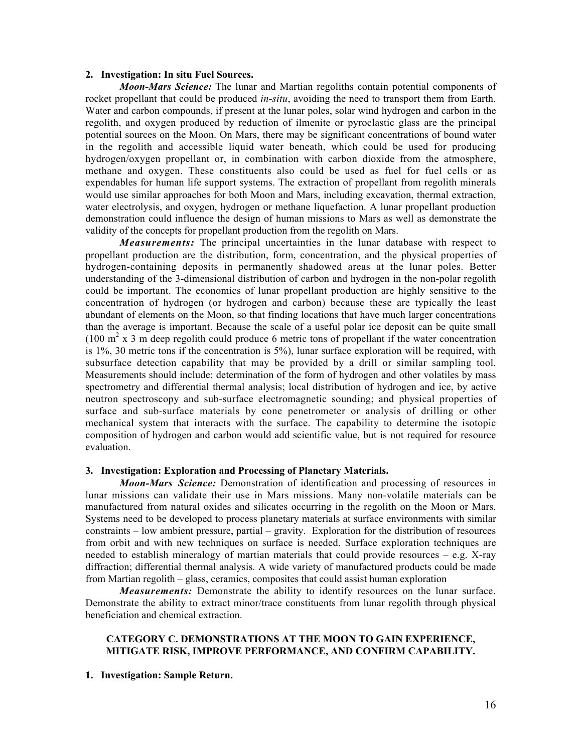#### 2. Investigation: In situ Fuel Sources.

*Moon-Mars Science:* The lunar and Martian regoliths contain potential components of rocket propellant that could be produced *in-situ*, avoiding the need to transport them from Earth. Water and carbon compounds, if present at the lunar poles, solar wind hydrogen and carbon in the regolith, and oxygen produced by reduction of ilmenite or pyroclastic glass are the principal potential sources on the Moon. On Mars, there may be significant concentrations of bound water in the regolith and accessible liquid water beneath, which could be used for producing hydrogen/oxygen propellant or, in combination with carbon dioxide from the atmosphere, methane and oxygen. These constituents also could be used as fuel for fuel cells or as expendables for human life support systems. The extraction of propellant from regolith minerals would use similar approaches for both Moon and Mars, including excavation, thermal extraction, water electrolysis, and oxygen, hydrogen or methane liquefaction. A lunar propellant production demonstration could influence the design of human missions to Mars as well as demonstrate the validity of the concepts for propellant production from the regolith on Mars.

*Measurements:* The principal uncertainties in the lunar database with respect to propellant production are the distribution, form, concentration, and the physical properties of hydrogen-containing deposits in permanently shadowed areas at the lunar poles. Better understanding of the 3-dimensional distribution of carbon and hydrogen in the non-polar regolith could be important. The economics of lunar propellant production are highly sensitive to the concentration of hydrogen (or hydrogen and carbon) because these are typically the least abundant of elements on the Moon, so that finding locations that have much larger concentrations than the average is important. Because the scale of a useful polar ice deposit can be quite small (100 m<sup>2</sup> x 3 m deep regolith could produce 6 metric tons of propellant if the water concentration is 1%, 30 metric tons if the concentration is 5%), lunar surface exploration will be required, with subsurface detection capability that may be provided by a drill or similar sampling tool. Measurements should include: determination of the form of hydrogen and other volatiles by mass spectrometry and differential thermal analysis; local distribution of hydrogen and ice, by active neutron spectroscopy and sub-surface electromagnetic sounding; and physical properties of surface and sub-surface materials by cone penetrometer or analysis of drilling or other mechanical system that interacts with the surface. The capability to determine the isotopic composition of hydrogen and carbon would add scientific value, but is not required for resource evaluation.

#### 3. Investigation: Exploration and Processing of Planetary Materials.

*Moon-Mars Science:* Demonstration of identification and processing of resources in lunar missions can validate their use in Mars missions. Many non-volatile materials can be manufactured from natural oxides and silicates occurring in the regolith on the Moon or Mars. Systems need to be developed to process planetary materials at surface environments with similar constraints – low ambient pressure, partial – gravity. Exploration for the distribution of resources from orbit and with new techniques on surface is needed. Surface exploration techniques are needed to establish mineralogy of martian materials that could provide resources  $-$  e.g. X-ray diffraction; differential thermal analysis. A wide variety of manufactured products could be made from Martian regolith – glass, ceramics, composites that could assist human exploration

*Measurements:* Demonstrate the ability to identify resources on the lunar surface. Demonstrate the ability to extract minor/trace constituents from lunar regolith through physical beneficiation and chemical extraction.

#### CATEGORY C. DEMONSTRATIONS AT THE MOON TO GAIN EXPERIENCE, MITIGATE RISK, IMPROVE PERFORMANCE, AND CONFIRM CAPABILITY.

1. Investigation: Sample Return.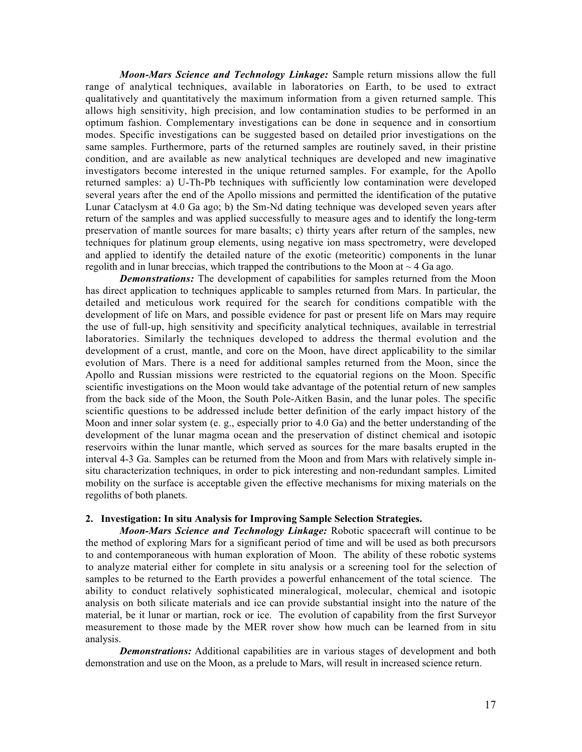*Moon-Mars Science and Technology Linkage:* Sample return missions allow the full range of analytical techniques, available in laboratories on Earth, to be used to extract qualitatively and quantitatively the maximum information from a given returned sample. This allows high sensitivity, high precision, and low contamination studies to be performed in an optimum fashion. Complementary investigations can be done in sequence and in consortium modes. Specific investigations can be suggested based on detailed prior investigations on the same samples. Furthermore, parts of the returned samples are routinely saved, in their pristine condition, and are available as new analytical techniques are developed and new imaginative investigators become interested in the unique returned samples. For example, for the Apollo returned samples: a) U-Th-Pb techniques with sufficiently low contamination were developed several years after the end of the Apollo missions and permitted the identification of the putative Lunar Cataclysm at 4.0 Ga ago; b) the Sm-Nd dating technique was developed seven years after return of the samples and was applied successfully to measure ages and to identify the long-term preservation of mantle sources for mare basalts; c) thirty years after return of the samples, new techniques for platinum group elements, using negative ion mass spectrometry, were developed and applied to identify the detailed nature of the exotic (meteoritic) components in the lunar regolith and in lunar breccias, which trapped the contributions to the Moon at  $\sim$  4 Ga ago.

*Demonstrations:* The development of capabilities for samples returned from the Moon has direct application to techniques applicable to samples returned from Mars. In particular, the detailed and meticulous work required for the search for conditions compatible with the development of life on Mars, and possible evidence for past or present life on Mars may require the use of full-up, high sensitivity and specificity analytical techniques, available in terrestrial laboratories. Similarly the techniques developed to address the thermal evolution and the development of a crust, mantle, and core on the Moon, have direct applicability to the similar evolution of Mars. There is a need for additional samples returned from the Moon, since the Apollo and Russian missions were restricted to the equatorial regions on the Moon. Specific scientific investigations on the Moon would take advantage of the potential return of new samples from the back side of the Moon, the South Pole-Aitken Basin, and the lunar poles. The specific scientific questions to be addressed include better definition of the early impact history of the Moon and inner solar system (e. g., especially prior to 4.0 Ga) and the better understanding of the development of the lunar magma ocean and the preservation of distinct chemical and isotopic reservoirs within the lunar mantle, which served as sources for the mare basalts erupted in the interval 4-3 Ga. Samples can be returned from the Moon and from Mars with relatively simple insitu characterization techniques, in order to pick interesting and non-redundant samples. Limited mobility on the surface is acceptable given the effective mechanisms for mixing materials on the regoliths of both planets.

#### 2. Investigation: In situ Analysis for Improving Sample Selection Strategies.

*Moon-Mars Science and Technology Linkage:* Robotic spacecraft will continue to be the method of exploring Mars for a significant period of time and will be used as both precursors to and contemporaneous with human exploration of Moon. The ability of these robotic systems to analyze material either for complete in situ analysis or a screening tool for the selection of samples to be returned to the Earth provides a powerful enhancement of the total science. The ability to conduct relatively sophisticated mineralogical, molecular, chemical and isotopic analysis on both silicate materials and ice can provide substantial insight into the nature of the material, be it lunar or martian, rock or ice. The evolution of capability from the first Surveyor measurement to those made by the MER rover show how much can be learned from in situ analysis.

*Demonstrations:* Additional capabilities are in various stages of development and both demonstration and use on the Moon, as a prelude to Mars, will result in increased science return.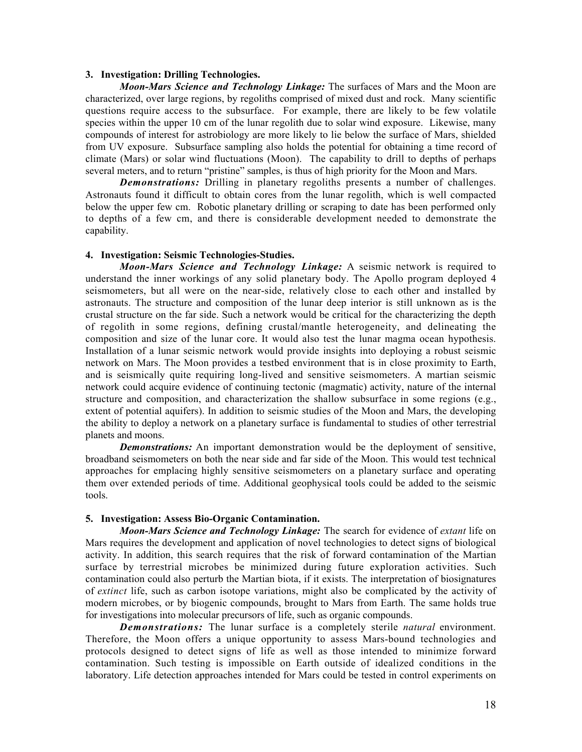#### 3. Investigation: Drilling Technologies.

*Moon-Mars Science and Technology Linkage:* The surfaces of Mars and the Moon are characterized, over large regions, by regoliths comprised of mixed dust and rock. Many scientific questions require access to the subsurface. For example, there are likely to be few volatile species within the upper 10 cm of the lunar regolith due to solar wind exposure. Likewise, many compounds of interest for astrobiology are more likely to lie below the surface of Mars, shielded from UV exposure. Subsurface sampling also holds the potential for obtaining a time record of climate (Mars) or solar wind fluctuations (Moon). The capability to drill to depths of perhaps several meters, and to return "pristine" samples, is thus of high priority for the Moon and Mars.

*Demonstrations:* Drilling in planetary regoliths presents a number of challenges. Astronauts found it difficult to obtain cores from the lunar regolith, which is well compacted below the upper few cm. Robotic planetary drilling or scraping to date has been performed only to depths of a few cm, and there is considerable development needed to demonstrate the capability.

#### 4. Investigation: Seismic Technologies-Studies.

*Moon-Mars Science and Technology Linkage:* A seismic network is required to understand the inner workings of any solid planetary body. The Apollo program deployed 4 seismometers, but all were on the near-side, relatively close to each other and installed by astronauts. The structure and composition of the lunar deep interior is still unknown as is the crustal structure on the far side. Such a network would be critical for the characterizing the depth of regolith in some regions, defining crustal/mantle heterogeneity, and delineating the composition and size of the lunar core. It would also test the lunar magma ocean hypothesis. Installation of a lunar seismic network would provide insights into deploying a robust seismic network on Mars. The Moon provides a testbed environment that is in close proximity to Earth, and is seismically quite requiring long-lived and sensitive seismometers. A martian seismic network could acquire evidence of continuing tectonic (magmatic) activity, nature of the internal structure and composition, and characterization the shallow subsurface in some regions (e.g., extent of potential aquifers). In addition to seismic studies of the Moon and Mars, the developing the ability to deploy a network on a planetary surface is fundamental to studies of other terrestrial planets and moons.

*Demonstrations:* An important demonstration would be the deployment of sensitive, broadband seismometers on both the near side and far side of the Moon. This would test technical approaches for emplacing highly sensitive seismometers on a planetary surface and operating them over extended periods of time. Additional geophysical tools could be added to the seismic tools.

#### 5. Investigation: Assess Bio-Organic Contamination.

*Moon-Mars Science and Technology Linkage:* The search for evidence of *extant* life on Mars requires the development and application of novel technologies to detect signs of biological activity. In addition, this search requires that the risk of forward contamination of the Martian surface by terrestrial microbes be minimized during future exploration activities. Such contamination could also perturb the Martian biota, if it exists. The interpretation of biosignatures of *extinct* life, such as carbon isotope variations, might also be complicated by the activity of modern microbes, or by biogenic compounds, brought to Mars from Earth. The same holds true for investigations into molecular precursors of life, such as organic compounds.

*Demonstrations:* The lunar surface is a completely sterile *natural* environment. Therefore, the Moon offers a unique opportunity to assess Mars-bound technologies and protocols designed to detect signs of life as well as those intended to minimize forward contamination. Such testing is impossible on Earth outside of idealized conditions in the laboratory. Life detection approaches intended for Mars could be tested in control experiments on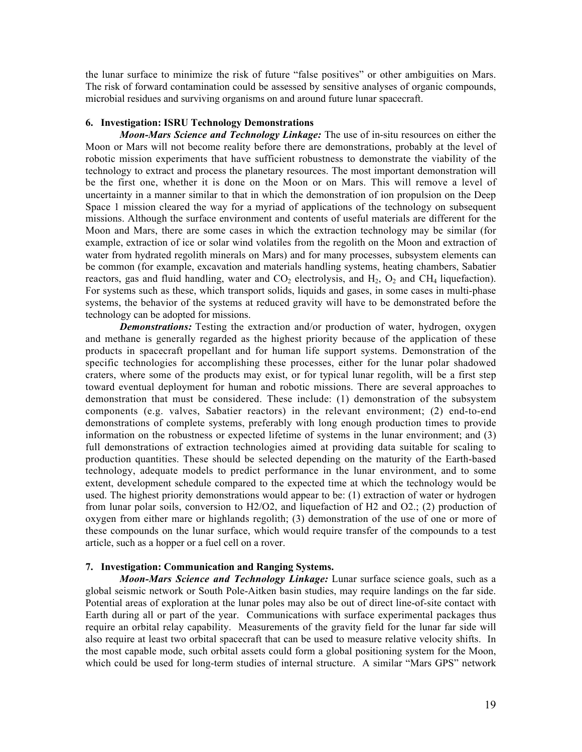the lunar surface to minimize the risk of future "false positives" or other ambiguities on Mars. The risk of forward contamination could be assessed by sensitive analyses of organic compounds, microbial residues and surviving organisms on and around future lunar spacecraft.

#### 6. Investigation: ISRU Technology Demonstrations

*Moon-Mars Science and Technology Linkage:* The use of in-situ resources on either the Moon or Mars will not become reality before there are demonstrations, probably at the level of robotic mission experiments that have sufficient robustness to demonstrate the viability of the technology to extract and process the planetary resources. The most important demonstration will be the first one, whether it is done on the Moon or on Mars. This will remove a level of uncertainty in a manner similar to that in which the demonstration of ion propulsion on the Deep Space 1 mission cleared the way for a myriad of applications of the technology on subsequent missions. Although the surface environment and contents of useful materials are different for the Moon and Mars, there are some cases in which the extraction technology may be similar (for example, extraction of ice or solar wind volatiles from the regolith on the Moon and extraction of water from hydrated regolith minerals on Mars) and for many processes, subsystem elements can be common (for example, excavation and materials handling systems, heating chambers, Sabatier reactors, gas and fluid handling, water and  $CO<sub>2</sub>$  electrolysis, and  $H<sub>2</sub>$ ,  $O<sub>2</sub>$  and CH<sub>4</sub> liquefaction). For systems such as these, which transport solids, liquids and gases, in some cases in multi-phase systems, the behavior of the systems at reduced gravity will have to be demonstrated before the technology can be adopted for missions.

*Demonstrations:* Testing the extraction and/or production of water, hydrogen, oxygen and methane is generally regarded as the highest priority because of the application of these products in spacecraft propellant and for human life support systems. Demonstration of the specific technologies for accomplishing these processes, either for the lunar polar shadowed craters, where some of the products may exist, or for typical lunar regolith, will be a first step toward eventual deployment for human and robotic missions. There are several approaches to demonstration that must be considered. These include: (1) demonstration of the subsystem components (e.g. valves, Sabatier reactors) in the relevant environment; (2) end-to-end demonstrations of complete systems, preferably with long enough production times to provide information on the robustness or expected lifetime of systems in the lunar environment; and (3) full demonstrations of extraction technologies aimed at providing data suitable for scaling to production quantities. These should be selected depending on the maturity of the Earth-based technology, adequate models to predict performance in the lunar environment, and to some extent, development schedule compared to the expected time at which the technology would be used. The highest priority demonstrations would appear to be: (1) extraction of water or hydrogen from lunar polar soils, conversion to H2/O2, and liquefaction of H2 and O2.; (2) production of oxygen from either mare or highlands regolith; (3) demonstration of the use of one or more of these compounds on the lunar surface, which would require transfer of the compounds to a test article, such as a hopper or a fuel cell on a rover.

#### 7. Investigation: Communication and Ranging Systems.

*Moon-Mars Science and Technology Linkage:* Lunar surface science goals, such as a global seismic network or South Pole-Aitken basin studies, may require landings on the far side. Potential areas of exploration at the lunar poles may also be out of direct line-of-site contact with Earth during all or part of the year. Communications with surface experimental packages thus require an orbital relay capability. Measurements of the gravity field for the lunar far side will also require at least two orbital spacecraft that can be used to measure relative velocity shifts. In the most capable mode, such orbital assets could form a global positioning system for the Moon, which could be used for long-term studies of internal structure. A similar "Mars GPS" network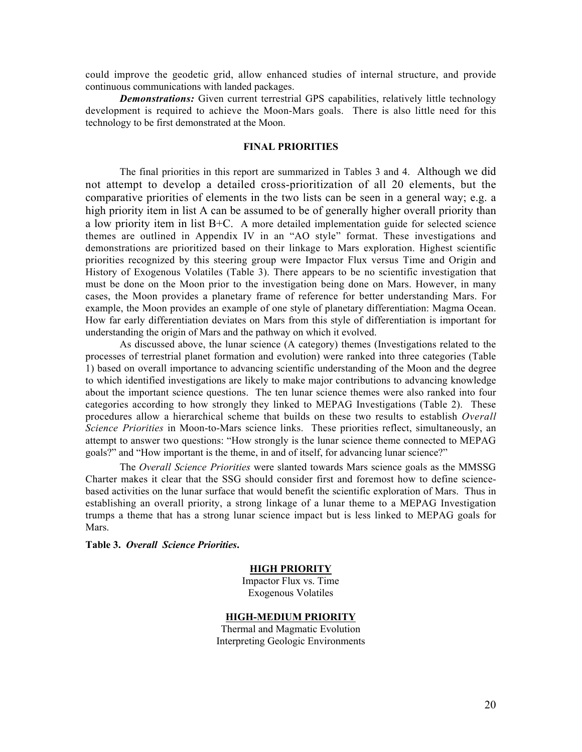could improve the geodetic grid, allow enhanced studies of internal structure, and provide continuous communications with landed packages.

*Demonstrations:* Given current terrestrial GPS capabilities, relatively little technology development is required to achieve the Moon-Mars goals. There is also little need for this technology to be first demonstrated at the Moon.

#### FINAL PRIORITIES

The final priorities in this report are summarized in Tables 3 and 4. Although we did not attempt to develop a detailed cross-prioritization of all 20 elements, but the comparative priorities of elements in the two lists can be seen in a general way; e.g. a high priority item in list A can be assumed to be of generally higher overall priority than a low priority item in list B+C. A more detailed implementation guide for selected science themes are outlined in Appendix IV in an "AO style" format. These investigations and demonstrations are prioritized based on their linkage to Mars exploration. Highest scientific priorities recognized by this steering group were Impactor Flux versus Time and Origin and History of Exogenous Volatiles (Table 3). There appears to be no scientific investigation that must be done on the Moon prior to the investigation being done on Mars. However, in many cases, the Moon provides a planetary frame of reference for better understanding Mars. For example, the Moon provides an example of one style of planetary differentiation: Magma Ocean. How far early differentiation deviates on Mars from this style of differentiation is important for understanding the origin of Mars and the pathway on which it evolved.

As discussed above, the lunar science (A category) themes (Investigations related to the processes of terrestrial planet formation and evolution) were ranked into three categories (Table 1) based on overall importance to advancing scientific understanding of the Moon and the degree to which identified investigations are likely to make major contributions to advancing knowledge about the important science questions. The ten lunar science themes were also ranked into four categories according to how strongly they linked to MEPAG Investigations (Table 2). These procedures allow a hierarchical scheme that builds on these two results to establish *Overall Science Priorities* in Moon-to-Mars science links. These priorities reflect, simultaneously, an attempt to answer two questions: "How strongly is the lunar science theme connected to MEPAG goals?" and "How important is the theme, in and of itself, for advancing lunar science?"

The *Overall Science Priorities* were slanted towards Mars science goals as the MMSSG Charter makes it clear that the SSG should consider first and foremost how to define sciencebased activities on the lunar surface that would benefit the scientific exploration of Mars. Thus in establishing an overall priority, a strong linkage of a lunar theme to a MEPAG Investigation trumps a theme that has a strong lunar science impact but is less linked to MEPAG goals for Mars.

Table 3. *Overall Science Priorities*.

#### HIGH PRIORITY

Impactor Flux vs. Time Exogenous Volatiles

#### HIGH-MEDIUM PRIORITY

Thermal and Magmatic Evolution Interpreting Geologic Environments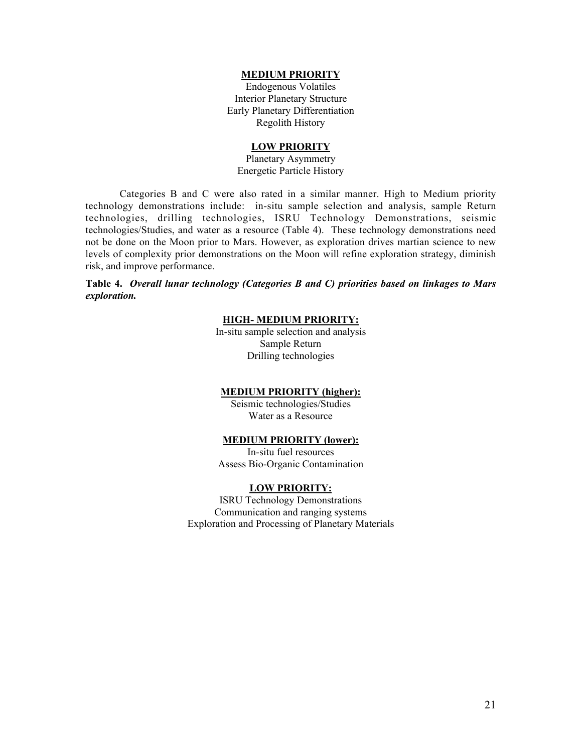#### MEDIUM PRIORITY

Endogenous Volatiles Interior Planetary Structure Early Planetary Differentiation Regolith History

#### LOW PRIORITY

Planetary Asymmetry Energetic Particle History

Categories B and C were also rated in a similar manner. High to Medium priority technology demonstrations include: in-situ sample selection and analysis, sample Return technologies, drilling technologies, ISRU Technology Demonstrations, seismic technologies/Studies, and water as a resource (Table 4). These technology demonstrations need not be done on the Moon prior to Mars. However, as exploration drives martian science to new levels of complexity prior demonstrations on the Moon will refine exploration strategy, diminish risk, and improve performance.

#### Table 4. *Overall lunar technology (Categories B and C) priorities based on linkages to Mars exploration.*

### HIGH- MEDIUM PRIORITY:

In-situ sample selection and analysis Sample Return Drilling technologies

#### MEDIUM PRIORITY (higher):

Seismic technologies/Studies Water as a Resource

#### MEDIUM PRIORITY (lower):

In-situ fuel resources Assess Bio-Organic Contamination

#### LOW PRIORITY:

ISRU Technology Demonstrations Communication and ranging systems Exploration and Processing of Planetary Materials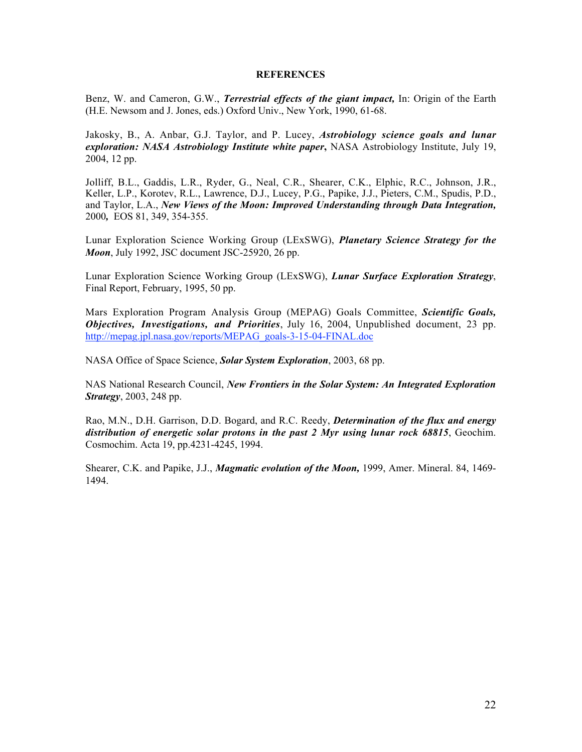#### **REFERENCES**

Benz, W. and Cameron, G.W., *Terrestrial effects of the giant impact,* In: Origin of the Earth (H.E. Newsom and J. Jones, eds.) Oxford Univ., New York, 1990, 61-68.

Jakosky, B., A. Anbar, G.J. Taylor, and P. Lucey, *Astrobiology science goals and lunar exploration: NASA Astrobiology Institute white paper*, NASA Astrobiology Institute, July 19, 2004, 12 pp.

Jolliff, B.L., Gaddis, L.R., Ryder, G., Neal, C.R., Shearer, C.K., Elphic, R.C., Johnson, J.R., Keller, L.P., Korotev, R.L., Lawrence, D.J., Lucey, P.G., Papike, J.J., Pieters, C.M., Spudis, P.D., and Taylor, L.A., *New Views of the Moon: Improved Understanding through Data Integration,* 2000*,* EOS 81, 349, 354-355.

Lunar Exploration Science Working Group (LExSWG), *Planetary Science Strategy for the Moon*, July 1992, JSC document JSC-25920, 26 pp.

Lunar Exploration Science Working Group (LExSWG), *Lunar Surface Exploration Strategy*, Final Report, February, 1995, 50 pp.

Mars Exploration Program Analysis Group (MEPAG) Goals Committee, *Scientific Goals, Objectives, Investigations, and Priorities*, July 16, 2004, Unpublished document, 23 pp. http://mepag.jpl.nasa.gov/reports/MEPAG\_goals-3-15-04-FINAL.doc

NASA Office of Space Science, *Solar System Exploration*, 2003, 68 pp.

NAS National Research Council, *New Frontiers in the Solar System: An Integrated Exploration Strategy*, 2003, 248 pp.

Rao, M.N., D.H. Garrison, D.D. Bogard, and R.C. Reedy, *Determination of the flux and energy distribution of energetic solar protons in the past 2 Myr using lunar rock 68815*, Geochim. Cosmochim. Acta 19, pp.4231-4245, 1994.

Shearer, C.K. and Papike, J.J., *Magmatic evolution of the Moon,* 1999, Amer. Mineral. 84, 1469- 1494.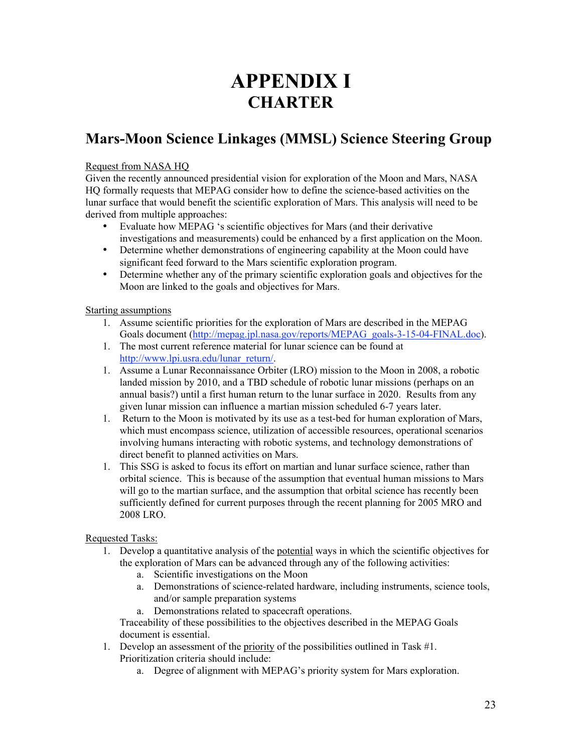# APPENDIX I **CHARTER**

# Mars-Moon Science Linkages (MMSL) Science Steering Group

#### Request from NASA HQ

Given the recently announced presidential vision for exploration of the Moon and Mars, NASA HQ formally requests that MEPAG consider how to define the science-based activities on the lunar surface that would benefit the scientific exploration of Mars. This analysis will need to be derived from multiple approaches:

- Evaluate how MEPAG 's scientific objectives for Mars (and their derivative investigations and measurements) could be enhanced by a first application on the Moon.
- Determine whether demonstrations of engineering capability at the Moon could have significant feed forward to the Mars scientific exploration program.
- Determine whether any of the primary scientific exploration goals and objectives for the Moon are linked to the goals and objectives for Mars.

#### Starting assumptions

- 1. Assume scientific priorities for the exploration of Mars are described in the MEPAG Goals document (http://mepag.jpl.nasa.gov/reports/MEPAG\_goals-3-15-04-FINAL.doc).
- 1. The most current reference material for lunar science can be found at http://www.lpi.usra.edu/lunar\_return/.
- 1. Assume a Lunar Reconnaissance Orbiter (LRO) mission to the Moon in 2008, a robotic landed mission by 2010, and a TBD schedule of robotic lunar missions (perhaps on an annual basis?) until a first human return to the lunar surface in 2020. Results from any given lunar mission can influence a martian mission scheduled 6-7 years later.
- 1. Return to the Moon is motivated by its use as a test-bed for human exploration of Mars, which must encompass science, utilization of accessible resources, operational scenarios involving humans interacting with robotic systems, and technology demonstrations of direct benefit to planned activities on Mars.
- 1. This SSG is asked to focus its effort on martian and lunar surface science, rather than orbital science. This is because of the assumption that eventual human missions to Mars will go to the martian surface, and the assumption that orbital science has recently been sufficiently defined for current purposes through the recent planning for 2005 MRO and 2008 LRO.

### Requested Tasks:

- 1. Develop a quantitative analysis of the potential ways in which the scientific objectives for the exploration of Mars can be advanced through any of the following activities:
	- a. Scientific investigations on the Moon
	- a. Demonstrations of science-related hardware, including instruments, science tools, and/or sample preparation systems
	- a. Demonstrations related to spacecraft operations.

Traceability of these possibilities to the objectives described in the MEPAG Goals document is essential.

- 1. Develop an assessment of the priority of the possibilities outlined in Task #1. Prioritization criteria should include:
	- a. Degree of alignment with MEPAG's priority system for Mars exploration.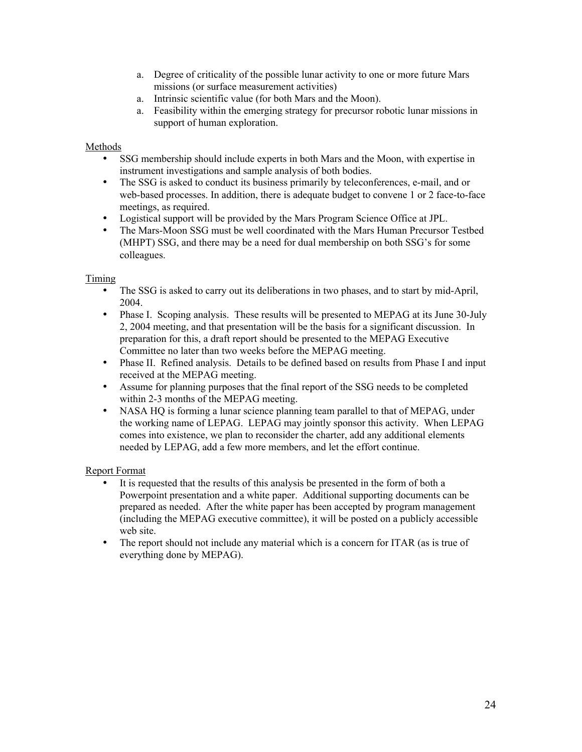- a. Degree of criticality of the possible lunar activity to one or more future Mars missions (or surface measurement activities)
- a. Intrinsic scientific value (for both Mars and the Moon).
- a. Feasibility within the emerging strategy for precursor robotic lunar missions in support of human exploration.

#### Methods

- SSG membership should include experts in both Mars and the Moon, with expertise in instrument investigations and sample analysis of both bodies.
- The SSG is asked to conduct its business primarily by teleconferences, e-mail, and or web-based processes. In addition, there is adequate budget to convene 1 or 2 face-to-face meetings, as required.
- Logistical support will be provided by the Mars Program Science Office at JPL.
- The Mars-Moon SSG must be well coordinated with the Mars Human Precursor Testbed (MHPT) SSG, and there may be a need for dual membership on both SSG's for some colleagues.

#### Timing

- The SSG is asked to carry out its deliberations in two phases, and to start by mid-April, 2004.
- Phase I. Scoping analysis. These results will be presented to MEPAG at its June 30-July 2, 2004 meeting, and that presentation will be the basis for a significant discussion. In preparation for this, a draft report should be presented to the MEPAG Executive Committee no later than two weeks before the MEPAG meeting.
- Phase II. Refined analysis. Details to be defined based on results from Phase I and input received at the MEPAG meeting.
- Assume for planning purposes that the final report of the SSG needs to be completed within 2-3 months of the MEPAG meeting.
- NASA HQ is forming a lunar science planning team parallel to that of MEPAG, under the working name of LEPAG. LEPAG may jointly sponsor this activity. When LEPAG comes into existence, we plan to reconsider the charter, add any additional elements needed by LEPAG, add a few more members, and let the effort continue.

#### Report Format

- It is requested that the results of this analysis be presented in the form of both a Powerpoint presentation and a white paper. Additional supporting documents can be prepared as needed. After the white paper has been accepted by program management (including the MEPAG executive committee), it will be posted on a publicly accessible web site.
- The report should not include any material which is a concern for ITAR (as is true of everything done by MEPAG).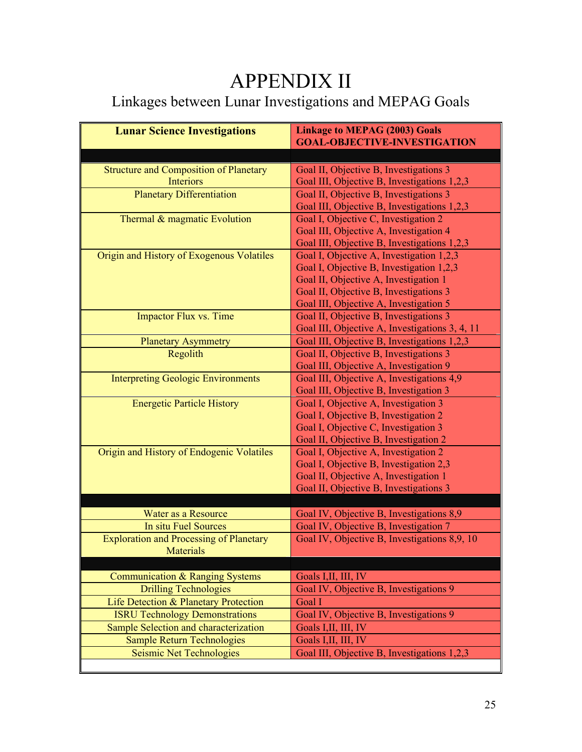# APPENDIX II

# Linkages between Lunar Investigations and MEPAG Goals

| <b>Lunar Science Investigations</b>            | <b>Linkage to MEPAG (2003) Goals</b><br><b>GOAL-OBJECTIVE-INVESTIGATION</b> |  |  |
|------------------------------------------------|-----------------------------------------------------------------------------|--|--|
|                                                |                                                                             |  |  |
| <b>Structure and Composition of Planetary</b>  | Goal II, Objective B, Investigations 3                                      |  |  |
| Interiors                                      | Goal III, Objective B, Investigations 1,2,3                                 |  |  |
| <b>Planetary Differentiation</b>               | Goal II, Objective B, Investigations 3                                      |  |  |
|                                                | Goal III, Objective B, Investigations 1,2,3                                 |  |  |
| Thermal & magmatic Evolution                   | Goal I, Objective C, Investigation 2                                        |  |  |
|                                                | Goal III, Objective A, Investigation 4                                      |  |  |
|                                                | Goal III, Objective B, Investigations 1,2,3                                 |  |  |
| Origin and History of Exogenous Volatiles      | Goal I, Objective A, Investigation 1,2,3                                    |  |  |
|                                                | Goal I, Objective B, Investigation 1,2,3                                    |  |  |
|                                                | Goal II, Objective A, Investigation 1                                       |  |  |
|                                                | Goal II, Objective B, Investigations 3                                      |  |  |
|                                                | Goal III, Objective A, Investigation 5                                      |  |  |
| Impactor Flux vs. Time                         | Goal II, Objective B, Investigations 3                                      |  |  |
|                                                | Goal III, Objective A, Investigations 3, 4, 11                              |  |  |
| <b>Planetary Asymmetry</b>                     | Goal III, Objective B, Investigations 1,2,3                                 |  |  |
| Regolith                                       | Goal II, Objective B, Investigations 3                                      |  |  |
|                                                | Goal III, Objective A, Investigation 9                                      |  |  |
| <b>Interpreting Geologic Environments</b>      | Goal III, Objective A, Investigations 4,9                                   |  |  |
|                                                | Goal III, Objective B, Investigation 3                                      |  |  |
| <b>Energetic Particle History</b>              | Goal I, Objective A, Investigation 3                                        |  |  |
|                                                | Goal I, Objective B, Investigation 2                                        |  |  |
|                                                | Goal I, Objective C, Investigation 3                                        |  |  |
|                                                | Goal II, Objective B, Investigation 2                                       |  |  |
| Origin and History of Endogenic Volatiles      | Goal I, Objective A, Investigation 2                                        |  |  |
|                                                | Goal I, Objective B, Investigation 2,3                                      |  |  |
|                                                | Goal II, Objective A, Investigation 1                                       |  |  |
|                                                | Goal II, Objective B, Investigations 3                                      |  |  |
|                                                |                                                                             |  |  |
| Water as a Resource                            | Goal IV, Objective B, Investigations 8,9                                    |  |  |
| <b>In situ Fuel Sources</b>                    | Goal IV, Objective B, Investigation 7                                       |  |  |
| <b>Exploration and Processing of Planetary</b> | Goal IV, Objective B, Investigations 8,9, 10                                |  |  |
| <b>Materials</b>                               |                                                                             |  |  |
|                                                |                                                                             |  |  |
| Communication & Ranging Systems                | Goals I, II, III, IV                                                        |  |  |
| <b>Drilling Technologies</b>                   | Goal IV, Objective B, Investigations 9                                      |  |  |
| Life Detection & Planetary Protection          | Goal I                                                                      |  |  |
| <b>ISRU Technology Demonstrations</b>          | Goal IV, Objective B, Investigations 9                                      |  |  |
| Sample Selection and characterization          | Goals I, II, III, IV                                                        |  |  |
| <b>Sample Return Technologies</b>              | Goals I, II, III, IV                                                        |  |  |
| <b>Seismic Net Technologies</b>                | Goal III, Objective B, Investigations 1,2,3                                 |  |  |
|                                                |                                                                             |  |  |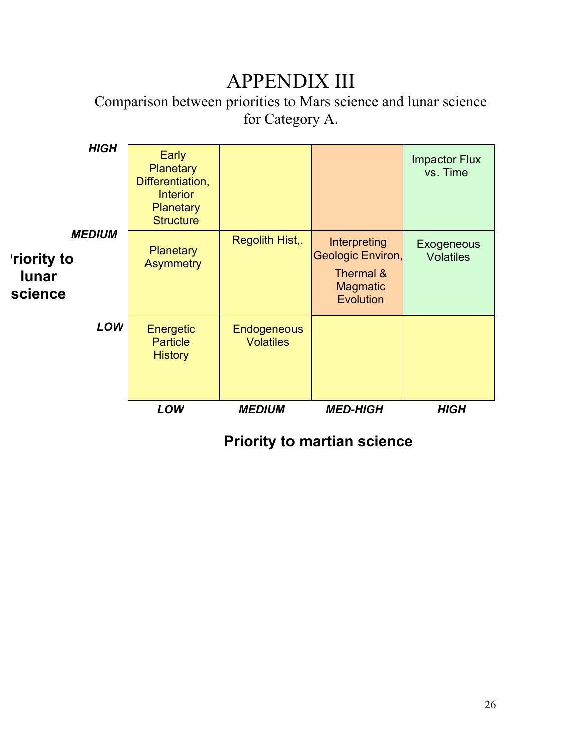# APPENDIX III

Comparison between priorities to Mars science and lunar science for Category A.

| <b>HIGH</b><br><b>MEDIUM</b><br><b>riority to</b><br><b>lunar</b><br>science | Early<br><b>Planetary</b><br>Differentiation,<br><b>Interior</b><br>Planetary<br><b>Structure</b><br><b>Planetary</b><br><b>Asymmetry</b> | Regolith Hist,.                        | Interpreting<br>Geologic Environ,<br>Thermal &<br><b>Magmatic</b><br>Evolution | <b>Impactor Flux</b><br>vs. Time<br>Exogeneous<br><b>Volatiles</b> |
|------------------------------------------------------------------------------|-------------------------------------------------------------------------------------------------------------------------------------------|----------------------------------------|--------------------------------------------------------------------------------|--------------------------------------------------------------------|
| LOW                                                                          | Energetic<br><b>Particle</b><br><b>History</b>                                                                                            | <b>Endogeneous</b><br><b>Volatiles</b> |                                                                                |                                                                    |
|                                                                              | LOW                                                                                                                                       | <b>MEDIUM</b>                          | <b>MED-HIGH</b>                                                                | <b>HIGH</b>                                                        |

**Priority to martian science**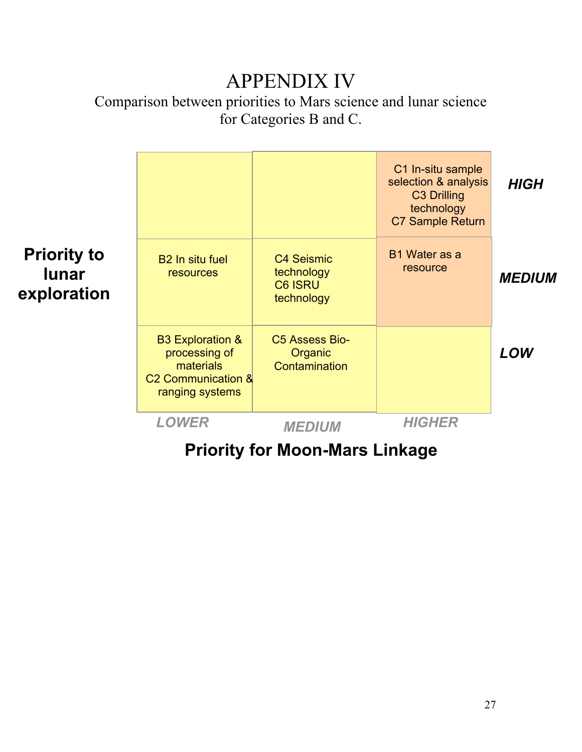# APPENDIX IV

Comparison between priorities to Mars science and lunar science for Categories B and C.

|                                                   |                                                                                                                |                                                                 | C1 In-situ sample<br>selection & analysis<br>C <sub>3</sub> Drilling<br>technology<br><b>C7 Sample Return</b> | <b>HIGH</b>   |
|---------------------------------------------------|----------------------------------------------------------------------------------------------------------------|-----------------------------------------------------------------|---------------------------------------------------------------------------------------------------------------|---------------|
| <b>Priority to</b><br><b>lunar</b><br>exploration | <b>B2</b> In situ fuel<br>resources                                                                            | <b>C4 Seismic</b><br>technology<br><b>C6 ISRU</b><br>technology | B1 Water as a<br>resource                                                                                     | <b>MEDIUM</b> |
|                                                   | <b>B3 Exploration &amp;</b><br>processing of<br>materials<br>C <sub>2</sub> Communication &<br>ranging systems | C5 Assess Bio-<br>Organic<br>Contamination                      |                                                                                                               | LOW           |
|                                                   | <b>LOWER</b>                                                                                                   | <b>MEDIUM</b>                                                   | <b>HIGHER</b>                                                                                                 |               |

# **Priority for Moon-Mars Linkage**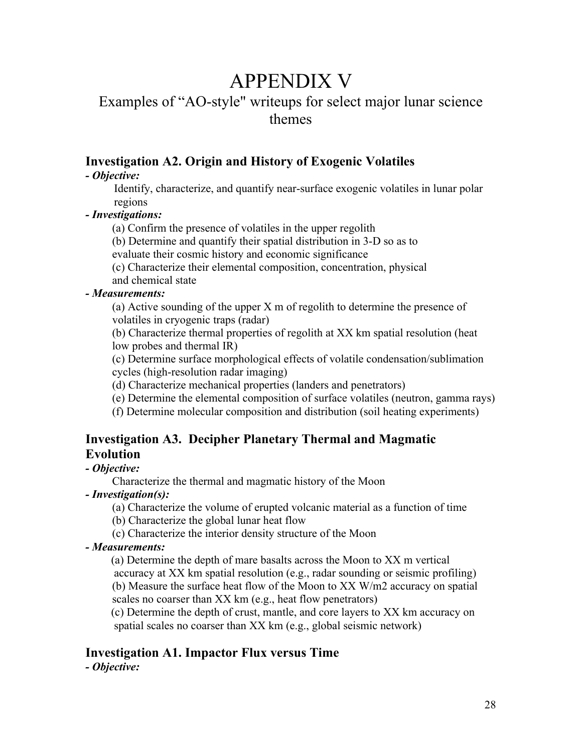# APPENDIX V

# Examples of "AO-style" writeups for select major lunar science themes

# Investigation A2. Origin and History of Exogenic Volatiles

### *- Objective:*

 Identify, characterize, and quantify near-surface exogenic volatiles in lunar polar regions

## *- Investigations:*

(a) Confirm the presence of volatiles in the upper regolith

(b) Determine and quantify their spatial distribution in 3-D so as to

evaluate their cosmic history and economic significance

(c) Characterize their elemental composition, concentration, physical

and chemical state

## *- Measurements:*

(a) Active sounding of the upper X m of regolith to determine the presence of volatiles in cryogenic traps (radar)

(b) Characterize thermal properties of regolith at XX km spatial resolution (heat low probes and thermal IR)

(c) Determine surface morphological effects of volatile condensation/sublimation cycles (high-resolution radar imaging)

(d) Characterize mechanical properties (landers and penetrators)

(e) Determine the elemental composition of surface volatiles (neutron, gamma rays)

(f) Determine molecular composition and distribution (soil heating experiments)

# Investigation A3. Decipher Planetary Thermal and Magmatic Evolution

## *- Objective:*

Characterize the thermal and magmatic history of the Moon

## *- Investigation(s):*

(a) Characterize the volume of erupted volcanic material as a function of time

(b) Characterize the global lunar heat flow

(c) Characterize the interior density structure of the Moon

## *- Measurements:*

 (a) Determine the depth of mare basalts across the Moon to XX m vertical accuracy at XX km spatial resolution (e.g., radar sounding or seismic profiling) (b) Measure the surface heat flow of the Moon to XX W/m2 accuracy on spatial scales no coarser than XX km (e.g., heat flow penetrators)

 (c) Determine the depth of crust, mantle, and core layers to XX km accuracy on spatial scales no coarser than XX km (e.g., global seismic network)

# Investigation A1. Impactor Flux versus Time

*- Objective:*